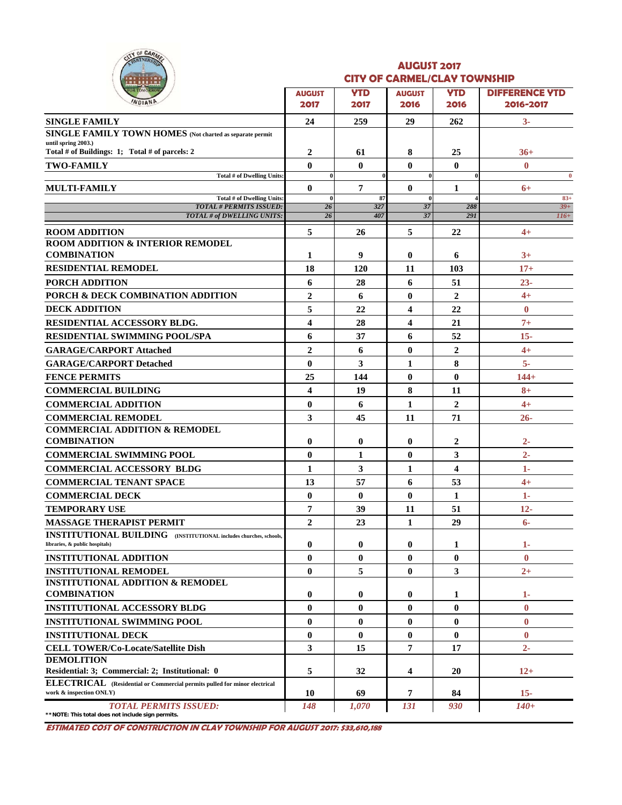|        |        | OF CARMEL |  |
|--------|--------|-----------|--|
| ٠<br>- | Ľ      |           |  |
|        | TOMORE |           |  |

#### **AUGUST 2017 CITY OF CARMEL/CLAY TOWNSHIP**

| <u>.</u><br><b>OR TOMORROW</b>                                              |                          |                    |                          |                         |                                    |  |  |  |
|-----------------------------------------------------------------------------|--------------------------|--------------------|--------------------------|-------------------------|------------------------------------|--|--|--|
| WDIAND                                                                      | <b>AUGUST</b><br>2017    | <b>YTD</b><br>2017 | <b>AUGUST</b><br>2016    | <b>YTD</b><br>2016      | <b>DIFFERENCE YTD</b><br>2016-2017 |  |  |  |
| <b>SINGLE FAMILY</b>                                                        | 24                       | 259                | 29                       | 262                     | $3-$                               |  |  |  |
| <b>SINGLE FAMILY TOWN HOMES</b> (Not charted as separate permit             |                          |                    |                          |                         |                                    |  |  |  |
| until spring 2003.)                                                         |                          |                    |                          |                         |                                    |  |  |  |
| Total # of Buildings: 1; Total # of parcels: 2                              | 2                        | 61                 | 8                        | 25                      | $36+$                              |  |  |  |
| <b>TWO-FAMILY</b><br>Total # of Dwelling Units:                             | $\mathbf{0}$<br>$\bf{0}$ | $\mathbf{0}$       | $\mathbf{0}$<br>$\bf{0}$ | $\mathbf{0}$            | $\bf{0}$<br>$\bf{0}$               |  |  |  |
| <b>MULTI-FAMILY</b>                                                         | $\bf{0}$                 | 7                  | $\mathbf{0}$             | 1                       | $6+$                               |  |  |  |
| Total # of Dwelling Units:                                                  | $\bf{0}$                 | 87                 | $\bf{0}$                 |                         | $83+$                              |  |  |  |
| <b>TOTAL # PERMITS ISSUED:</b><br>TOTAL # of DWELLING UNITS:                | 26<br>26                 | 327<br>407         | 37                       | 288<br>291              | $39+$                              |  |  |  |
|                                                                             |                          |                    | 37                       |                         | $116+$                             |  |  |  |
| <b>ROOM ADDITION</b>                                                        | 5                        | 26                 | 5                        | 22                      | $4+$                               |  |  |  |
| <b>ROOM ADDITION &amp; INTERIOR REMODEL</b><br><b>COMBINATION</b>           |                          |                    |                          |                         |                                    |  |  |  |
| <b>RESIDENTIAL REMODEL</b>                                                  | 1                        | 9                  | $\bf{0}$                 | 6                       | $3+$                               |  |  |  |
|                                                                             | 18                       | 120                | 11                       | 103                     | $17+$                              |  |  |  |
| PORCH ADDITION                                                              | 6                        | 28                 | 6                        | 51                      | $23 -$                             |  |  |  |
| PORCH & DECK COMBINATION ADDITION                                           | $\overline{2}$           | 6                  | $\bf{0}$                 | $\overline{2}$          | $4+$                               |  |  |  |
| <b>DECK ADDITION</b>                                                        | 5                        | 22                 | 4                        | 22                      | $\bf{0}$                           |  |  |  |
| RESIDENTIAL ACCESSORY BLDG.                                                 | $\overline{\mathbf{4}}$  | 28                 | 4                        | 21                      | $7+$                               |  |  |  |
| <b>RESIDENTIAL SWIMMING POOL/SPA</b>                                        | 6                        | 37                 | 6                        | 52                      | $15 -$                             |  |  |  |
| <b>GARAGE/CARPORT Attached</b>                                              | $\overline{2}$           | 6                  | $\bf{0}$                 | $\overline{2}$          | $4+$                               |  |  |  |
| <b>GARAGE/CARPORT Detached</b>                                              | $\bf{0}$                 | 3                  | 1                        | 8                       | $5-$                               |  |  |  |
| <b>FENCE PERMITS</b>                                                        | 25                       | 144                | $\bf{0}$                 | $\bf{0}$                | $144+$                             |  |  |  |
| <b>COMMERCIAL BUILDING</b>                                                  | $\overline{\mathbf{4}}$  | 19                 | 8                        | 11                      | $8+$                               |  |  |  |
| <b>COMMERCIAL ADDITION</b>                                                  | $\bf{0}$                 | 6                  | $\mathbf{1}$             | $\overline{2}$          | $4+$                               |  |  |  |
| <b>COMMERCIAL REMODEL</b>                                                   | 3                        | 45                 | 11                       | 71                      | $26 -$                             |  |  |  |
| <b>COMMERCIAL ADDITION &amp; REMODEL</b>                                    |                          |                    |                          |                         |                                    |  |  |  |
| <b>COMBINATION</b>                                                          | $\bf{0}$                 | $\bf{0}$           | $\bf{0}$                 | 2                       | $2-$                               |  |  |  |
| <b>COMMERCIAL SWIMMING POOL</b>                                             | $\mathbf{0}$             | 1                  | $\mathbf{0}$             | 3                       | $2 -$                              |  |  |  |
| <b>COMMERCIAL ACCESSORY BLDG</b>                                            | 1                        | 3                  | $\mathbf{1}$             | $\overline{\mathbf{4}}$ | $1-$                               |  |  |  |
| <b>COMMERCIAL TENANT SPACE</b>                                              | 13                       | 57                 | 6                        | 53                      | $4+$                               |  |  |  |
| <b>COMMERCIAL DECK</b>                                                      | $\bf{0}$                 | $\bf{0}$           | $\mathbf{0}$             | 1                       | $1 -$                              |  |  |  |
| <b>TEMPORARY USE</b>                                                        | $\overline{7}$           | 39                 | 11                       | 51                      | $12 -$                             |  |  |  |
| <b>MASSAGE THERAPIST PERMIT</b>                                             | $\overline{2}$           | 23                 | 1                        | 29                      | $6-$                               |  |  |  |
| <b>INSTITUTIONAL BUILDING</b> (INSTITUTIONAL includes churches, schools,    |                          |                    |                          |                         |                                    |  |  |  |
| libraries, & public hospitals)                                              | $\bf{0}$                 | $\bf{0}$           | $\bf{0}$                 | 1                       | $1-$                               |  |  |  |
| <b>INSTITUTIONAL ADDITION</b>                                               | $\bf{0}$                 | $\mathbf{0}$       | $\mathbf{0}$             | $\bf{0}$                | $\mathbf{0}$                       |  |  |  |
| <b>INSTITUTIONAL REMODEL</b><br><b>INSTITUTIONAL ADDITION &amp; REMODEL</b> | $\bf{0}$                 | 5                  | $\bf{0}$                 | 3                       | $2+$                               |  |  |  |
| <b>COMBINATION</b>                                                          | $\bf{0}$                 | $\bf{0}$           | $\bf{0}$                 | 1                       | $1-$                               |  |  |  |
| <b>INSTITUTIONAL ACCESSORY BLDG</b>                                         | $\bf{0}$                 | $\bf{0}$           | $\mathbf{0}$             | $\bf{0}$                | $\bf{0}$                           |  |  |  |
| <b>INSTITUTIONAL SWIMMING POOL</b>                                          | $\bf{0}$                 | $\bf{0}$           | $\bf{0}$                 | $\bf{0}$                | $\bf{0}$                           |  |  |  |
| <b>INSTITUTIONAL DECK</b>                                                   | $\bf{0}$                 | $\bf{0}$           | $\bf{0}$                 | $\bf{0}$                | $\bf{0}$                           |  |  |  |
| <b>CELL TOWER/Co-Locate/Satellite Dish</b>                                  | 3                        | 15                 | 7                        | 17                      | $2 -$                              |  |  |  |
| <b>DEMOLITION</b>                                                           |                          |                    |                          |                         |                                    |  |  |  |
| Residential: 3; Commercial: 2; Institutional: 0                             | 5                        | 32                 | 4                        | 20                      | $12+$                              |  |  |  |
| ELECTRICAL (Residential or Commercial permits pulled for minor electrical   |                          |                    |                          |                         |                                    |  |  |  |
| work & inspection ONLY)                                                     | 10                       | 69                 | $\overline{7}$           | 84                      | $15-$                              |  |  |  |
| <b>TOTAL PERMITS ISSUED:</b>                                                | 148                      | 1,070              | 131                      | 930                     | $140+$                             |  |  |  |

**\*\*NOTE: This total does not include sign permits.**

**ESTIMATED COST OF CONSTRUCTION IN CLAY TOWNSHIP FOR AUGUST 2017: \$33,610,188**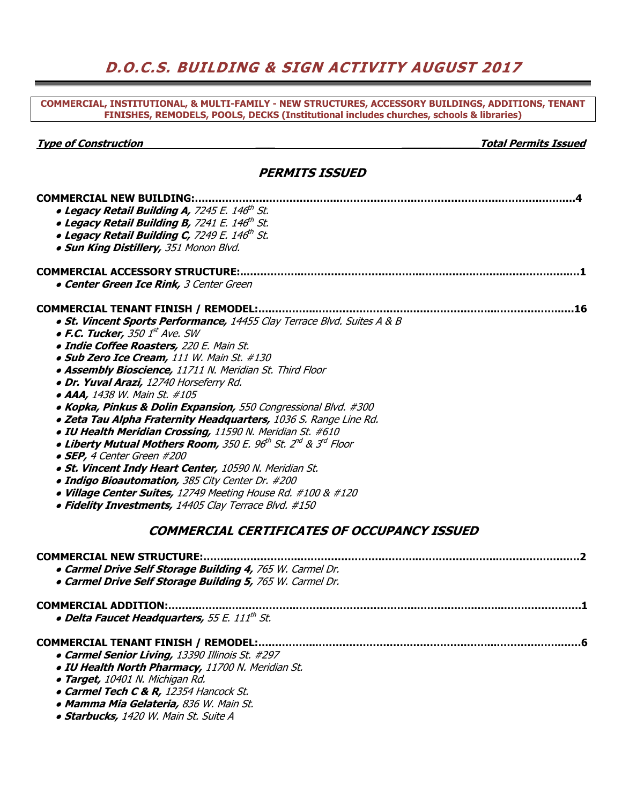## **D.O.C.S. BUILDING & SIGN ACTIVITY AUGUST 2017**

**COMMERCIAL, INSTITUTIONAL, & MULTI-FAMILY - NEW STRUCTURES, ACCESSORY BUILDINGS, ADDITIONS, TENANT FINISHES, REMODELS, POOLS, DECKS (Institutional includes churches, schools & libraries)** 

**Type of Construction \_\_\_ \_\_\_\_\_\_\_\_\_\_\_\_Total Permits Issued** 

#### **PERMITS ISSUED**

| <b>COMMERCIAL NEW BUILDING:</b>                                         |  |
|-------------------------------------------------------------------------|--|
| · Legacy Retail Building A, 7245 E. 146th St.                           |  |
| • Legacy Retail Building B, 7241 E. 146th St.                           |  |
| • Legacy Retail Building C, 7249 E. 146 <sup>th</sup> St.               |  |
| . Sun King Distillery, 351 Monon Blvd.                                  |  |
| <b>COMMERCIAL ACCESSORY STRUCTURE:</b>                                  |  |
| <b>. Center Green Ice Rink, 3 Center Green</b>                          |  |
|                                                                         |  |
| . St. Vincent Sports Performance, 14455 Clay Terrace Blvd. Suites A & B |  |
| $\bullet$ F.C. Tucker, 350 $1^{st}$ Ave. SW                             |  |
| · Indie Coffee Roasters, 220 E. Main St.                                |  |
| · Sub Zero Ice Cream, 111 W. Main St. #130                              |  |
| · Assembly Bioscience, 11711 N. Meridian St. Third Floor                |  |
| · Dr. Yuval Arazi, 12740 Horseferry Rd.                                 |  |
| • AAA, 1438 W. Main St. #105                                            |  |
| . Kopka, Pinkus & Dolin Expansion, 550 Congressional Blvd. #300         |  |
| . Zeta Tau Alpha Fraternity Headquarters, 1036 S. Range Line Rd.        |  |
| . IU Health Meridian Crossing, 11590 N. Meridian St. #610               |  |
| . Liberty Mutual Mothers Room, 350 E. 96th St. 2nd & 3rd Floor          |  |
| • SEP, 4 Center Green #200                                              |  |
| · St. Vincent Indy Heart Center, 10590 N. Meridian St.                  |  |
| · Indigo Bioautomation, 385 City Center Dr. #200                        |  |
| • Village Center Suites, 12749 Meeting House Rd. #100 & #120            |  |
| • Fidelity Investments, 14405 Clay Terrace Blvd. #150                   |  |
| <b>COMMERCIAL CERTIFICATES OF OCCUPANCY ISSUED</b>                      |  |
| <b>COMMERCIAL NEW STRUCTURE:</b>                                        |  |
| . Carmel Drive Self Storage Building 4, 765 W. Carmel Dr.               |  |
| . Carmel Drive Self Storage Building 5, 765 W. Carmel Dr.               |  |
| COMMERCIAL ADDITION:                                                    |  |
| · Delta Faucet Headquarters, 55 E. 111th St.                            |  |
| <b>COMMERCIAL TENANT FINISH / REMODEL:</b>                              |  |
| • Carmel Senior Living, 13390 Illinois St. #297                         |  |
| · IU Health North Pharmacy, 11700 N. Meridian St.                       |  |
| · Target, 10401 N. Michigan Rd.                                         |  |
| • Carmel Tech C & R, 12354 Hancock St.                                  |  |
| · Mamma Mia Gelateria, 836 W. Main St.                                  |  |
| · Starbucks, 1420 W. Main St. Suite A                                   |  |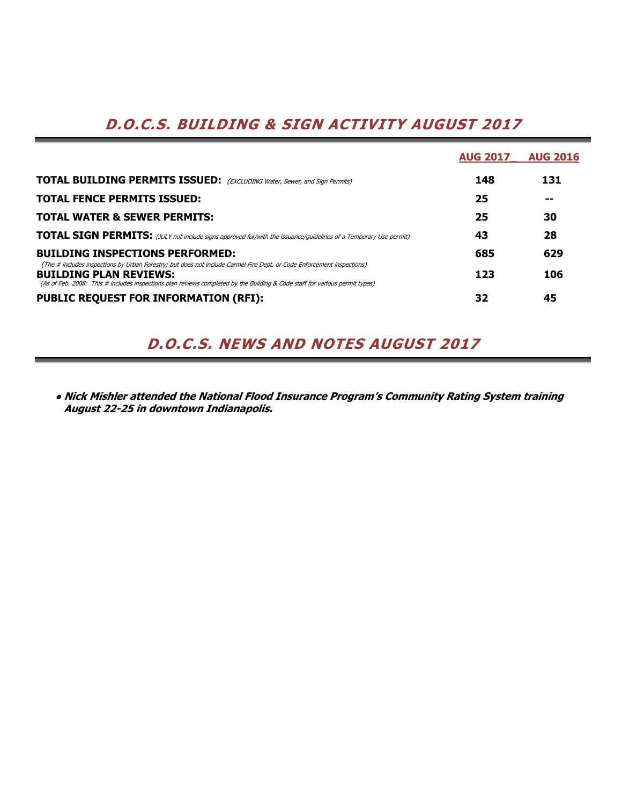# **D.O.C.S. BUILDING & SIGN ACTIVITY AUGUST 2017**

|                                                                                                                                                                                                                                                                                        | <b>AUG 2017</b> | <b>AUG 2016</b> |
|----------------------------------------------------------------------------------------------------------------------------------------------------------------------------------------------------------------------------------------------------------------------------------------|-----------------|-----------------|
| <b>TOTAL BUILDING PERMITS ISSUED:</b> (EXCLUDING Water, Sewer, and Sign Permits)                                                                                                                                                                                                       | 148             | 131             |
| <b>TOTAL FENCE PERMITS ISSUED:</b>                                                                                                                                                                                                                                                     | 25              | --              |
| <b>TOTAL WATER &amp; SEWER PERMITS:</b>                                                                                                                                                                                                                                                | 25              | 30              |
| <b>TOTAL SIGN PERMITS:</b> (JULY not include signs approved for/with the issuance/guidelines of a Temporary Use permit)                                                                                                                                                                | 43              | 28              |
| <b>BUILDING INSPECTIONS PERFORMED:</b>                                                                                                                                                                                                                                                 | 685             | 629             |
| (The # includes inspections by Urban Forestry; but does not include Carmel Fire Dept. or Code Enforcement inspections)<br><b>BUILDING PLAN REVIEWS:</b><br>(As of Feb. 2008: This # includes inspections plan reviews completed by the Building & Code staff for various permit types) | 123             | 106             |
| <b>PUBLIC REQUEST FOR INFORMATION (RFI):</b>                                                                                                                                                                                                                                           | 32              | 45              |

## **D.O.C.S. NEWS AND NOTES AUGUST 2017**

**● Nick Mishler attended the National Flood Insurance Program's Community Rating System training August 22-25 in downtown Indianapolis.**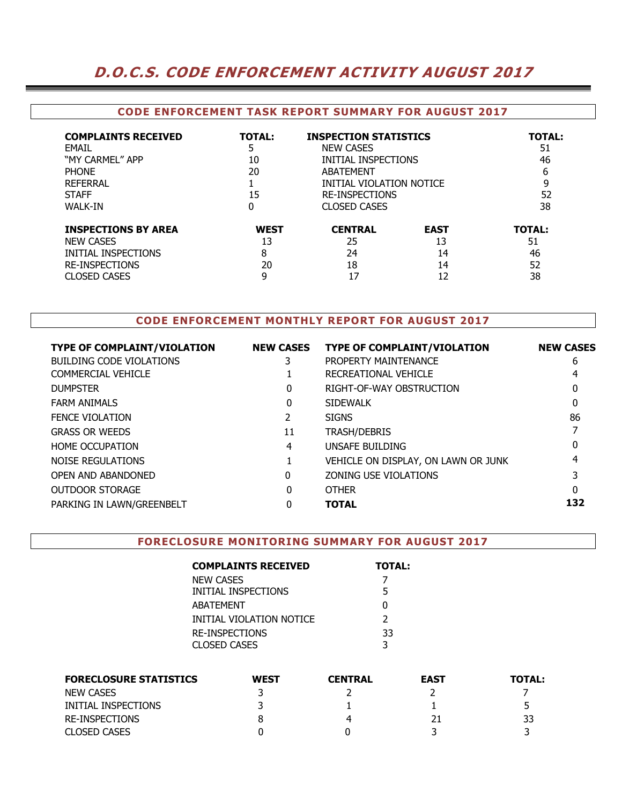## **D.O.C.S. CODE ENFORCEMENT ACTIVITY AUGUST 2017**

#### **CODE ENFORCEMENT TASK REPORT SUMMARY FOR AUGUST 2017**

| <b>COMPLAINTS RECEIVED</b><br>FMAIL<br>"MY CARMEL" APP<br><b>PHONF</b><br>REFERRAL<br><b>STAFF</b><br><b>WALK-IN</b>  | <b>TOTAL:</b><br>5<br>10<br>20<br>15<br>0 | <b>INSPECTION STATISTICS</b><br><b>NEW CASES</b><br>INITIAL INSPECTIONS<br>ABATFMFNT<br>INITIAL VIOLATION NOTICE<br><b>RE-INSPECTIONS</b><br><b>CLOSED CASES</b> |                               | <b>TOTAL:</b><br>51<br>46<br>6<br>9<br>52<br>38 |
|-----------------------------------------------------------------------------------------------------------------------|-------------------------------------------|------------------------------------------------------------------------------------------------------------------------------------------------------------------|-------------------------------|-------------------------------------------------|
| <b>INSPECTIONS BY AREA</b><br><b>NEW CASES</b><br>INITIAL INSPECTIONS<br><b>RE-INSPECTIONS</b><br><b>CLOSED CASES</b> | <b>WEST</b><br>13<br>8<br>20<br>9         | <b>CENTRAL</b><br>25<br>24<br>18<br>17                                                                                                                           | <b>EAST</b><br>13<br>14<br>14 | <b>TOTAL:</b><br>51<br>46<br>52<br>38           |

#### **CODE ENFORCEMENT MONTHLY REPORT FOR AUGUST 2017**

| <b>TYPE OF COMPLAINT/VIOLATION</b> | <b>NEW CASES</b> | <b>TYPE OF COMPLAINT/VIOLATION</b>  | <b>NEW CASES</b> |
|------------------------------------|------------------|-------------------------------------|------------------|
| BUILDING CODE VIOLATIONS           |                  | PROPERTY MAINTENANCE                | 6                |
| <b>COMMERCIAL VEHICLE</b>          |                  | RECREATIONAL VEHICLE                |                  |
| <b>DUMPSTER</b>                    | 0                | RIGHT-OF-WAY OBSTRUCTION            | 0                |
| <b>FARM ANIMALS</b>                | 0                | <b>SIDEWALK</b>                     | 0                |
| <b>FENCE VIOLATION</b>             |                  | <b>SIGNS</b>                        | 86               |
| <b>GRASS OR WEEDS</b>              | 11               | <b>TRASH/DEBRIS</b>                 |                  |
| <b>HOME OCCUPATION</b>             | 4                | UNSAFE BUILDING                     |                  |
| <b>NOISE REGULATIONS</b>           |                  | VEHICLE ON DISPLAY, ON LAWN OR JUNK |                  |
| OPEN AND ABANDONED                 | 0                | ZONING USE VIOLATIONS               |                  |
| OUTDOOR STORAGE                    | 0                | <b>OTHER</b>                        | 0                |
| PARKING IN LAWN/GREENBELT          |                  | <b>TOTAL</b>                        | 132              |
|                                    |                  |                                     |                  |

#### **FORECLOSURE MONITORING SUMMARY FOR AUGUST 2017**

| <b>COMPLAINTS RECEIVED</b> | <b>TOTAL:</b> |
|----------------------------|---------------|
| NEW CASES                  |               |
| INITIAL INSPECTIONS        | 5             |
| ABATEMENT                  | O             |
| INITIAL VIOLATION NOTICE   | $\mathcal{P}$ |
| <b>RE-INSPECTIONS</b>      | 33            |
| CLOSED CASES               | 3             |

| <b>FORECLOSURE STATISTICS</b> | <b>WEST</b> | <b>CENTRAL</b> | <b>EAST</b> | <b>TOTAL:</b> |
|-------------------------------|-------------|----------------|-------------|---------------|
| NEW CASES                     |             |                |             |               |
| INITIAL INSPECTIONS           |             |                |             | ∽             |
| RE-INSPECTIONS                |             | 4              |             | 33            |
| <b>CLOSED CASES</b>           |             |                |             |               |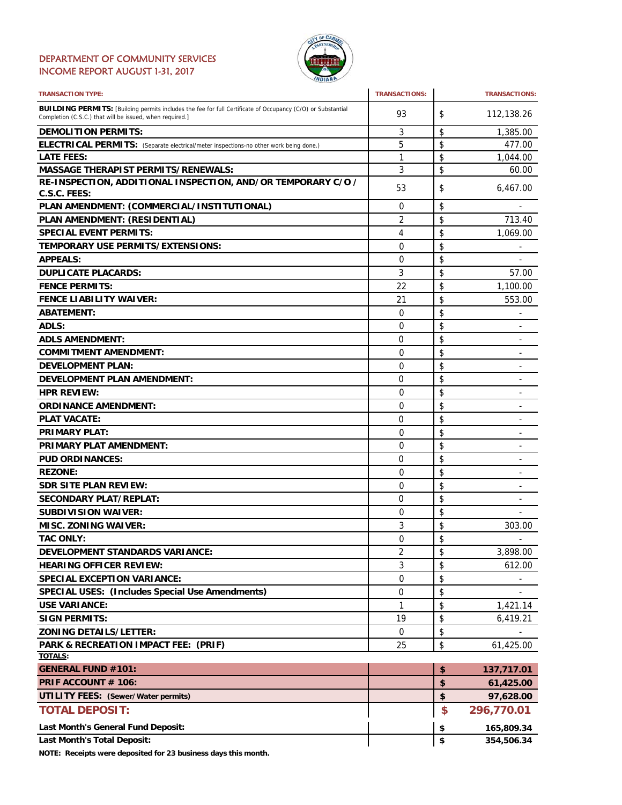#### DEPARTMENT OF COMMUNITY SERVICES INCOME REPORT AUGUST 1-31, 2017



| <b>TRANSACTION TYPE:</b>                                                                                                                                                       | <b>TRANSACTIONS:</b> | <b>TRANSACTIONS:</b>               |
|--------------------------------------------------------------------------------------------------------------------------------------------------------------------------------|----------------------|------------------------------------|
| <b>BUILDING PERMITS:</b> [Building permits includes the fee for full Certificate of Occupancy (C/O) or Substantial<br>Completion (C.S.C.) that will be issued, when required.] | 93                   | \$<br>112,138.26                   |
| <b>DEMOLITION PERMITS:</b>                                                                                                                                                     | 3                    | \$<br>1,385.00                     |
| ELECTRICAL PERMITS: (Separate electrical/meter inspections-no other work being done.)                                                                                          | 5                    | \$<br>477.00                       |
| <b>LATE FEES:</b>                                                                                                                                                              | 1                    | \$<br>1,044.00                     |
| <b>MASSAGE THERAPIST PERMITS/RENEWALS:</b>                                                                                                                                     | 3                    | \$<br>60.00                        |
| RE-INSPECTION, ADDITIONAL INSPECTION, AND/OR TEMPORARY C/O /                                                                                                                   | 53                   | \$<br>6,467.00                     |
| C.S.C. FEES:                                                                                                                                                                   |                      |                                    |
| PLAN AMENDMENT: (COMMERCIAL/INSTITUTIONAL)                                                                                                                                     | 0                    | \$                                 |
| PLAN AMENDMENT: (RESIDENTIAL)                                                                                                                                                  | 2                    | \$<br>713.40                       |
| <b>SPECIAL EVENT PERMITS:</b>                                                                                                                                                  | 4                    | \$<br>1,069.00                     |
| <b>TEMPORARY USE PERMITS/EXTENSIONS:</b>                                                                                                                                       | 0                    | \$                                 |
| <b>APPEALS:</b>                                                                                                                                                                | 0                    | \$                                 |
| <b>DUPLICATE PLACARDS:</b>                                                                                                                                                     | 3                    | \$<br>57.00                        |
| <b>FENCE PERMITS:</b>                                                                                                                                                          | 22                   | \$<br>1,100.00                     |
| <b>FENCE LIABILITY WAIVER:</b>                                                                                                                                                 | 21                   | \$<br>553.00                       |
| <b>ABATEMENT:</b>                                                                                                                                                              | $\mathbf 0$          | \$                                 |
| ADLS:                                                                                                                                                                          | 0                    | \$<br>٠                            |
| <b>ADLS AMENDMENT:</b>                                                                                                                                                         | $\Omega$             | \$<br>$\overline{\phantom{0}}$     |
| <b>COMMITMENT AMENDMENT:</b>                                                                                                                                                   | 0                    | \$                                 |
| <b>DEVELOPMENT PLAN:</b>                                                                                                                                                       | 0                    | \$<br>٠                            |
| <b>DEVELOPMENT PLAN AMENDMENT:</b>                                                                                                                                             | 0                    | \$                                 |
| <b>HPR REVIEW:</b>                                                                                                                                                             |                      | -                                  |
|                                                                                                                                                                                | 0                    | \$<br>-                            |
| <b>ORDINANCE AMENDMENT:</b>                                                                                                                                                    | 0                    | \$<br>$\overline{\phantom{a}}$     |
| <b>PLAT VACATE:</b>                                                                                                                                                            | 0                    | \$<br>$\overline{a}$               |
| <b>PRIMARY PLAT:</b>                                                                                                                                                           | 0                    | \$                                 |
| <b>PRIMARY PLAT AMENDMENT:</b>                                                                                                                                                 | 0                    | \$<br>$\qquad \qquad \blacksquare$ |
| <b>PUD ORDINANCES:</b>                                                                                                                                                         | 0                    | \$<br>L.                           |
| <b>REZONE:</b>                                                                                                                                                                 | 0                    | \$<br>-                            |
| <b>SDR SITE PLAN REVIEW:</b>                                                                                                                                                   | 0                    | \$<br>-                            |
| <b>SECONDARY PLAT/REPLAT:</b>                                                                                                                                                  | $\Omega$             | \$                                 |
| <b>SUBDIVISION WAIVER:</b>                                                                                                                                                     | 0                    | \$                                 |
| <b>MISC. ZONING WAIVER:</b>                                                                                                                                                    | 3                    | \$<br>303.00                       |
| <b>TAC ONLY:</b>                                                                                                                                                               | $\Omega$             | \$                                 |
| <b>DEVELOPMENT STANDARDS VARIANCE:</b>                                                                                                                                         | 2                    | \$<br>3,898.00                     |
| <b>HEARING OFFICER REVIEW:</b>                                                                                                                                                 | 3                    | \$<br>612.00                       |
| <b>SPECIAL EXCEPTION VARIANCE:</b>                                                                                                                                             | 0                    | \$                                 |
| <b>SPECIAL USES: (Includes Special Use Amendments)</b>                                                                                                                         | 0                    | \$                                 |
| <b>USE VARIANCE:</b>                                                                                                                                                           | 1                    | \$<br>1,421.14                     |
| <b>SIGN PERMITS:</b>                                                                                                                                                           | 19                   | \$<br>6,419.21                     |
| <b>ZONING DETAILS/LETTER:</b>                                                                                                                                                  | 0                    | \$                                 |
| PARK & RECREATION IMPACT FEE: (PRIF)                                                                                                                                           | 25                   | \$<br>61,425.00                    |
| TOTALS:                                                                                                                                                                        |                      |                                    |
| <b>GENERAL FUND #101:</b>                                                                                                                                                      |                      | \$<br>137,717.01                   |
| PRIF ACCOUNT # 106:                                                                                                                                                            |                      | \$<br>61,425.00                    |
| <b>UTILITY FEES: (Sewer/Water permits)</b>                                                                                                                                     |                      | \$<br>97,628.00                    |
| <b>TOTAL DEPOSIT:</b>                                                                                                                                                          |                      | \$<br>296,770.01                   |
| Last Month's General Fund Deposit:                                                                                                                                             |                      | \$<br>165,809.34                   |
| Last Month's Total Deposit:                                                                                                                                                    |                      | \$<br>354,506.34                   |

**NOTE: Receipts were deposited for 23 business days this month.**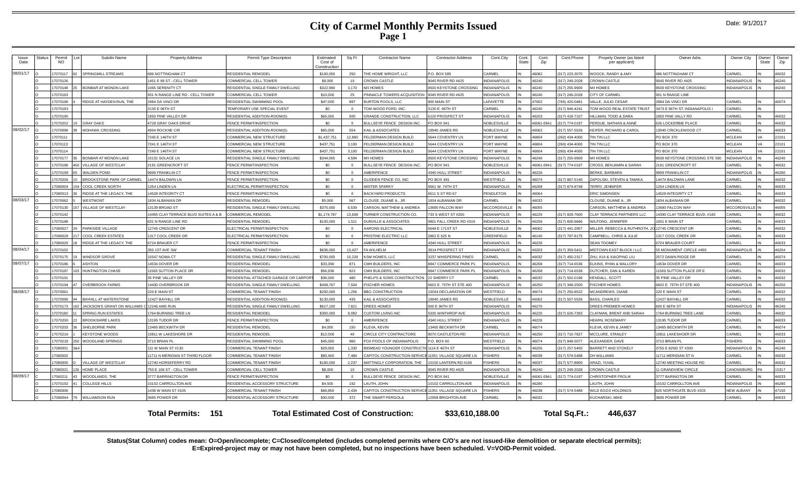| Issue<br>Date | Status | Permit<br>NO. |     | Subdiv Name                        | <b>Property Address</b>              | Permit Type Description               | Estimated<br>Cost of<br>Construction | Sq Ft    | <b>Contractor Name</b>                               | <b>Contractor Address</b> | Cont.City           | Cont.<br>State | Cont.<br>Zip | Cont.Phone       | Propety Owner (as listed<br>per applicant) | Owner Adrs                     | Owner City          | Owner<br>State      | Owner<br>Zip |
|---------------|--------|---------------|-----|------------------------------------|--------------------------------------|---------------------------------------|--------------------------------------|----------|------------------------------------------------------|---------------------------|---------------------|----------------|--------------|------------------|--------------------------------------------|--------------------------------|---------------------|---------------------|--------------|
| 08/01/17      |        | 7070117       |     | SPRINGMILL STREAMS                 | <b>686 NOTTINGHAM CT</b>             | RESIDENTIAL REMODEL                   | \$100,000                            | 250      | THE HOME WRIGHT, LLC                                 | P.O. BOX 585              | <b>ARMEL</b>        |                | 46082        | (317) 223-3070   | <b>JOOCK, RANDY &amp; AMY</b>              | 686 NOTTINGHAM CT              | CARMEL              |                     | 46032        |
|               |        | 17070126      |     |                                    | 1451 E 96 ST - CELL TOWER            | COMMERCIAL CELL TOWER                 | \$9,000                              | 10       | <b>CROWN CASTLE</b>                                  | 9045 RIVER RD #425        | <b>INDIANAPOLIS</b> |                | 46240        | (317) 249-2028   | <b>ROWN CASTLE</b>                         | 9045 RIVER RD #425             | <b>INDIANAPOLIS</b> |                     | 46240        |
|               |        | 7070148       |     | BONBAR AT MONON LAKE               | 1065 SERENITY CT                     | RESIDENTIAL SINGLE FAMILY DWELLING    | \$322,990                            | 3.170    | M/I HOMES                                            | 3500 KEYSTONE CROSSING    | NDIANAPOLIS         |                | 46240        | (317) 255-9900   | <b>I/I HOMES</b>                           | <b>3500 KEYSTONE CROSSING</b>  | <b>NDIANAPOLIS</b>  |                     | 46240        |
|               |        | 7070163       |     |                                    | 931 N RANGE LINE RD - CELL TOWER     | <b>COMMERCIAL CELL TOWER</b>          | \$10,000                             | 25       | PINNACLE TOWERS ACQUISITION                          | 9045 RIVER RD #425        | <b>NDIANAPOLIS</b>  |                | 46240        | (317) 249-2028   | <b>ITY OF CARMEL</b>                       | 901 N RANGE LINE               |                     |                     |              |
|               |        | 17070168      |     | RIDGE AT HAYDEN RUN. THE           | 2984 DA VINCI DR                     | RESIDENTIAL SWIMMING POOL             | \$47,000                             | 897      | BURTON POOLS, LLC                                    | 800 MAIN ST               | AFAYETTE            |                | 47902        | (765) 420-0481   | ALLE, JULIO CESAR                          | 2984 DA VINCI DR               | CARMEI              |                     | 46074        |
|               |        | 17070183      |     |                                    | 3130 E 96TH ST                       | <b>EMPORARY USE SPECIAL EVENT</b>     | \$0                                  | $\Omega$ | TOM WOOD FORD. INC.                                  | 3130 E. 96TH ST           | CARMEL              |                | 46240        | (317) 846-4241   | TOM WOOD REAL ESTATE TRUST                 | 3473 E 96TH ST, INDIANAPOLIS I | CARMEI              |                     |              |
|               |        | 7070190       |     |                                    | 1850 PINE VALLEY DR                  | RESIDENTIAL ADDITION-ROOM(S)          | \$65,000                             | 500      | <b>GRANDE CONSTRUCTION, LLC</b>                      | 6120 PROSPECT ST          | <b>INDIANAPOLIS</b> |                | 46203        | (317) 418-7107   | <b>HILLMAN, TODD &amp; DARA</b>            | 1850 PINE VALLY RD             | CARMEI              |                     | 46032        |
|               |        | 17070202      |     | <b>GRAY OAKS</b>                   | 4728 GRAY OAKS DRIVE                 | FENCE PERMIT/INSPECTION               | \$0                                  | $\Omega$ | BULLSEYE FENCE DESIGN INC.                           | <b>PO BOX 941</b>         | NOBLESVILLE         |                | 46061-0941   | (317) 774-0197   | <b>PERDUE, NATHAN &amp; ANNE</b>           | 626 LOCKERBIE PLACE            | CARMEI              |                     | 46032        |
| 08/02/17      |        | 17070098      |     | <b>MOHAWK CROSSING</b>             | 4904 ROCKNE CIR                      | RESIDENTIAL ADDITION-ROOM(S)          | \$65,000                             | 554      | KAIL & ASSOCIATES                                    | 19940 JAMES RD            | NOBLESVILLE         |                | 46062        | (317) 557-5526   | EIFER, RICHARD & CAROL                     | 13040 CRICKLEWOOD CT           | CARMEI              |                     | 46033        |
|               |        | 1707011       |     |                                    | 7245 E 146TH ST                      | COMMERCIAL NEW STRUCTURE              | \$1,437,751                          | 12,860   | FELDERMAN DESIGN BUILD                               | 5644 COVENTRY LN          | <b>FORT WAYNE</b>   |                | 46804        | (260) 434-4000   | IN TIN LLC                                 | PO BOX 370                     | <b>MCLEAN</b>       | <b>VA</b>           | 22101        |
|               |        | 17070113      |     |                                    | 7241 F 146TH ST                      | COMMERCIAL NEW STRUCTURE              | \$437.751                            | 3.100    | FELDERMAN DESIGN BUILD                               | 5644 COVENTRY LN          | FORT WAYNE          |                | 46804        | $(260)$ 434-4000 | IN TIN LLC                                 | PO BOX 370                     | MCLEAN              | $\mathcal{U}\Delta$ | 22101        |
|               |        | 17070114      |     |                                    | 7249 E 146TH ST                      | COMMERCIAL NEW STRUCTURE              | \$437,751                            | 3.100    | FELDERMAN DESIGN BUILD                               | 5644 COVENTRY LN          | FORT WAYNE          |                | 46804        | (260) 434-4000   | IN TIN LLC                                 | <b>PO BOX 370</b>              | <b>MCLEAN</b>       | <b>VA</b>           | 22101        |
|               |        | 7070177       |     | <b>BONBAR AT MONON LAKE</b>        | 10131 SOLACE LN                      | RESIDENTIAL SINGLE FAMILY DWELLING    | \$344,005                            | 4.594    | M/I HOMES                                            | 8500 KEYSTONE CROSSING    | <b>INDIANAPOLIS</b> |                | 46240        | (317) 255-9900   | <b>I/I HOMES</b>                           | 8500 KEYSTONE CROSSING STE 590 | <b>INDIANAPOLIS</b> |                     | 46240        |
|               |        | 17070198      | 450 | VILLAGE OF WESTCLAY                | 2191 GREENCROFT ST                   | FENCE PERMIT/INSPECTION               | \$0                                  | $\Omega$ | BULLSEYE FENCE DESIGN INC.                           | <b>PO BOX 941</b>         | NOBLESVILLE         |                | 46061-0941   | (317) 774-0197   | CROSS, BENJAMIN & SARAH                    | 2191 GREENCROFT ST             | CARMEL              |                     | 46032        |
|               |        | 17070199      |     | <b>WALDEN POND</b>                 | 9999 FRANKLIN CT                     | FENCE PERMIT/INSPECTION               | \$0                                  | $\Omega$ | AMERIFENCE                                           | 4340 HULL STREET          | <b>INDIANAPOLIS</b> |                | 46226        |                  | BERKE, BARBARA                             | 9999 FRANKLIN CT               | <b>NDIANAPOLIS</b>  |                     | 46280        |
|               |        | 7070206       |     | <b>BROOKSTONE PARK OF CARMEL</b>   | 14474 BALDWIN LN                     | FENCE PERMIT/INSPECTION               | \$0                                  | $\Omega$ | GLIDDEN FENCE CO, INC                                | <b>PO BOX 481</b>         | <b>NESTFIELD</b>    |                | 46074        | (317) 867-5140   | APOLSKI, STEVEN & TAMIKA                   | 14474 BALDWIN LANE             | CARMEL              |                     | 46032        |
|               |        | 7080004       | 154 | COOL CREEK NORTH                   | 1254 LINDEN LN                       | ELECTRICAL PERMIT/INSPECTION          | \$0                                  | $\Omega$ | MISTER SPARKY                                        | 5561 W. 74TH ST           | <b>INDIANAPOLIS</b> |                | 46268        | (317) 874-8748   | ERRY, JENNIFER                             | 1254 LINDEN LN                 | CARMEL              |                     | 46033        |
|               |        | 7080013       |     | RIDGE AT THE LEGACY, THE           | 14528 INTEGRITY CT                   | FENCE PERMIT/INSPECTION               | \$0                                  | $\Omega$ | <b>BACKYARD PRODUCTS</b>                             | 6511 S ST RD 67           | PENDLETON           |                | 46064        |                  | <b>RIC SIMONSEN</b>                        | 4528 INTEGRITY CT              | CARMEL              |                     | 46033        |
| 08/03/17      |        | 7070062       |     | <b>WESTMONT</b>                    | 1834 ALBANIAN DR                     | RESIDENTIAL REMODEL                   | \$5,000                              | 567      | CLOUSE, DUANE A., JR                                 | <b>834 ALBANIAN DR</b>    | CARMEL              |                | 46032        |                  | LOUSE, DUANE A., JR                        | 1834 ALBANIAN DR               | ARMEL               |                     | 46032        |
|               |        | 7070130       |     | VILLAGE OF WESTCLAY                | 13139 BROAD ST                       | RESIDENTIAL SINGLE FAMILY DWELLING    | \$375,000                            | 6.539    | CARSON, MATTHEW & ANDREA                             | 13690 FALCON WAY          | <b>MCCORDSVILLE</b> |                | 46055        |                  | ARSON, MATTHEW & ANDREA                    | 13690 FALCON WAY               | <b>ACCORDSVILLE</b> |                     | 46055        |
|               |        | 7070142       |     |                                    | 14455 CLAY TERRACE BLVD SUITES A & B | <b>COMMERCIAL REMODEL</b>             | \$1,174,787                          | 13.608   | TURNER CONSTRUCTION CO.                              | 733 S WEST ST #200        | <b>INDIANAPOLIS</b> |                | 46225        | 317) 829-7600    | CLAY TERRACE PARTNERS LLC                  | 14390 CLAY TERRACE BLVD, #165  | CARMEI              |                     | 46032        |
|               |        | 7070188       |     |                                    | 631 N RANGE LINE RD                  | RESIDENTIAL REMODEL                   | \$100,000                            | 1.511    | DUNVILLE & ASSOCIATES                                | 9801 FALL CREEK RD #319   | <b>NDIANAPOLIS</b>  |                | 46256        | (317) 826-9666   | VILFONG, JENNIFER                          | 1001 E MAIN ST                 | CARMEL              |                     | 46033        |
|               |        | 7080027       |     | PARKSIDE VILLAGE                   | 12745 CRESCENT DR                    | FLECTRICAL PERMIT/INSPECTION          | SO.                                  | $\Omega$ | AARONS ELECTRICAL                                    | 6648 E 171ST ST           | <b>VOBLESVILLE</b>  |                | 46062        | (317) 441-2957   | MILLER, REBECCA & RUTHROTH.                | 12745 CRESCENT DR              | CARMEL              |                     | 46032        |
|               |        | 7080028       |     | <b>COOL CREEK ESTATES</b>          | 1317 COOL CREEK DR                   | ELECTRICAL PERMIT/INSPECTION          | \$0                                  | $\Omega$ | PRISTINE ELECTRIC LLC                                | 2862 E 625 N              | GREENFIELD          |                | 46140        | 317) 797-8175    | AMPBELL, CHRIS & JULIE                     | 1317 COOL CREEK DR             | CARMEI              |                     | 46033        |
|               |        | 7080029       |     | RIDGE AT THE LEGACY. THE           | 6724 BRAUER CT                       | FENCE PERMIT/INSPECTION               | SO                                   |          | AMERIFENCE                                           | 4340 HULL STREET          | <b>INDIANAPOLIS</b> |                | 46226        |                  | <b>EAN TOOMEY</b>                          | 6724 BRAUER COURT              | CARMEI              |                     | 46033        |
| 08/04/17      |        | 17070102      |     |                                    | 350 1ST AVE SW                       | COMMERCIAL TENANT FINISH              | \$636,000                            | 13.427   | <b>FAWILHELM</b>                                     | 3914 PROSPECT ST          | <b>INDIANAPOLIS</b> |                | 46203        | (317) 359-5411   | <b><i>INDTOWN EAST BLOCK I LLC</i></b>     | 55 MONUMENT CIRCLE #450        | <b>INDIANAPOLIS</b> |                     | 46204        |
|               |        | 7070175       |     | <b>WINDSOR GROVE</b>               | 10547 NOMA CT                        | RESIDENTIAL SINGLE FAMILY DWELLING    | \$700,000                            | 10.228   | KSM HOMES, LLC                                       | 3237 WHISPERING PINES     | <b>ARMEL</b>        |                | 46032        | (317) 450-2317   | ZHU, KUI & XIAOPING LIU                    | 2572 DAWN RIDGE DR             | CARMEL              |                     | 46074        |
| 08/07/17      |        | 7070186       |     | <b>ASHTON</b>                      | 14534 DOVER DR                       | RESIDENTIAL REMODEL                   | \$33,390                             | 871      | CMH BUILDERS, INC                                    | 8847 COMMERCE PARK PI     | NDIANAPOLIS         |                | 46268        | (317) 714-6536   | LKINS, RYAN & MALLORY                      | 4534 DOVER DR                  | CARMEL              |                     | 46033        |
|               |        | 17070187      |     | <b>HUNTINGTON CHASE</b>            | 11583 SUTTON PLACE DR                | RESIDENTIAL REMODEI                   | \$56,936                             | 822      | CMH BUILDERS, INC                                    | 8847 COMMERCE PARK P      | NDIANAPOLIS         |                | 46268        | (317) 714-6536   | UTCHER, DAN & KAREN                        | 11583 SUTTON PLACE DR E        | CARME               |                     | 46032        |
|               |        | 7070191       |     |                                    | 35 PINE VALLEY DR                    | RESIDENTIAL ATTACHED GARAGE OR CARPOR | \$36,000                             | 480      | PHELPS & SONS CONSTRUCTION 22 SHERRY CT              |                           | CARMEL              |                | 46032        | (317) 502-0196   | <b>ENDALL, SCOTT</b>                       | 35 PINE VALLEY DR              | CARMEL              |                     | 46032        |
|               |        | 17070194      |     | <b>OVERBROOK FARMS</b>             | 14430 OVERBROOK DR                   | RESIDENTIAL SINGLE FAMILY DWELLING    | \$408,767                            | 7.504    | <b>FISCHER HOMES</b>                                 | 6602 E. 75TH ST STE 400   | <b>INDIANAPOLIS</b> |                | 46250        | (317) 348-2500   | <b>ISCHER HOMES</b>                        | 6602 E. 75TH ST STE 400        | <b>INDIANAPOLIS</b> |                     | 46250        |
| 08/08/17      |        | 17070061      |     |                                    | 220 E MAIN ST                        | COMMERCIAL TENANT FINISH              | \$200,000                            | 1.256    | <b>BBG CONSTRUCTION</b>                              | 15034 DECLARATION DF      | <b>NESTFIELD</b>    |                | 46074        | (317) 250-8522   | <b>ICANDREWS, DIANE</b>                    | 220 E MAIN ST                  | CARMEI              |                     | 46032        |
|               |        | 7070099       |     | <b>BAYHILL AT WATERSTONE</b>       | 12427 BAYHILL DF                     | RESIDENTIAL ADDITION-ROOM(S)          | \$130,000                            | 435      | KAIL & ASSOCIATES                                    | 19940 JAMES RD            | NOBLESVILLE         |                | 46062        | (317) 557-5526   | <b>BASS, CHARLES</b>                       | 12427 BAYHILL DR               | CARMEI              |                     | 46032        |
|               |        | 17070173      |     | <b>JACKSON'S GRANT ON WILLIAMS</b> | C 12246 AMS RUN                      | RESIDENTIAL SINGLE FAMILY DWELLING    | \$617,100                            | 7.821    | DREES HOMES                                          | 900 E 96TH ST             | <b>INDIANAPOLIS</b> |                | 46270        |                  | OREES PREMIER HOMES                        | 900 E 96TH ST                  | <b>INDIANAPOLIS</b> |                     | 46240        |
|               |        | 17070180      |     | <b>SPRING RUN ESTATES</b>          | 1764 BURNING TREE LN                 | RESIDENTIAL REMODE                    | \$300,000                            | 8.082    | CUSTOM LIVING INC                                    | 5335 WINTHROP AVE         | <b>INDIANAPOLIS</b> |                | 46220        | (317) 626-7393   | LAYMAN, BRENT AND SARAH                    | 1764 BURNING TREE LANE         | CARMEL              |                     | 46032        |
|               |        | 7070200       | 22  | <b>BROOKSHIRE LAKES</b>            | 13195 TUDOR DR                       | FENCE PERMIT/INSPECTION               | \$0                                  | $\Omega$ | AMERIFENCE                                           | 4340 HULL STREET          | <b>INDIANAPOLIS</b> |                | 46226        |                  | HEARN, ROSEMARY                            | 13195 TUDOR DR                 | CARMEL              |                     | 46033        |
|               |        | 7070203       |     | SHELBORNE PARK                     | 13465 BECKWITH DR                    | RESIDENTIAL REMODEL                   | \$4,000                              | 150      | KLEVA, KEVIN                                         | 13465 BECKWITH DR         | ARMEL               |                | 46074        |                  | <b>(LEVA, KEVIN &amp; JAMEY</b>            | 3465 BECKWITH DR               | CARMEI              |                     | 46074        |
|               |        | 7070216       |     | <b>KEYSTONE WOODS</b>              | 10811 W LAKESHORE DR                 | RESIDENTIAL REMODEL                   | \$12,000                             | 40       | CIRCLE CITY CONTRACTORS                              | 8070 CASTLETON RD         | <b>INDIANAPOLIS</b> |                | 46250        | (317) 710-7827   | <b>MCCLURE, STANLEY</b>                    | 10811 LAKESHOER DR             | CARMEL              |                     | 46033        |
|               |        | 17070219      |     | <b>WOODLAND SPRINGS</b>            | 3710 BRIAN PL                        | RESIDENTIAL SWIMMING POO              | \$45,000                             | 960      | FOX POOLS OF INDIANAPOLIS                            | P.O. BOX 60               | <b>NESTFIELD</b>    |                | 46074        | (317) 848-5077   | LEXANDER, DAVE                             | 3710 BRIAN PL                  | <b>ISHERS</b>       |                     | 46033        |
|               |        | 7080001       |     |                                    | 111 W MAIN ST #130                   | COMMERCIAL TENANT FINISH              | \$29,000                             | 1,330    | BIDMEAD YOUNGER CONSTRUCTIC 1114 E 46TH ST           |                           | <b>INDIANAPOLIS</b> |                | 46205        | (317) 257-5400   | ARRETT AND STOKELY                         | 3755 E 82ND ST #300            | NDIANAPOLIS         |                     | 46240        |
|               |        | 17080002      |     |                                    | 11711 N MERIDIAN ST THIRD FLOOR      | COMMERCIAL TENANT FINISH              | \$83,400                             | 7.484    | CAPITOL CONSTRUCTION SERVICE 11051 VILLAGE SQUARE LN |                           | <b>ISHERS</b>       |                | 46038        | 317) 574-5488    | <b>DH WILLIAMS</b>                         | 11711 MERIDIAN ST N            | CARMEL              |                     | 46032        |
|               |        | 7080005       |     | VILLAGE OF WESTCLAY                | 12740 HORSEFERRY RD                  | <b>COMMERCIAL TENANT FINISH</b>       | \$180,000                            | 2.237    | MATTINGLY CORPORATION, THE                           | 0150 LANTERN RD #100      | <b>ISHERS</b>       |                | 46037        | (317) 577-8800   | <b>ARAZI, YUVAL</b>                        | 12740 MEETING HOUSE RD         | CARMEL              |                     | 46032        |
|               |        | 7080021       | 126 | HOME PLACE                         | 750 E 106 ST - CELL TOWER            | COMMERCIAL CELL TOWER                 | \$8,000                              | 10       | <b>CROWN CASTLE</b>                                  | 9045 RIVER RD #425        | <b>NDIANAPOLIS</b>  |                | 46240        | 317) 249-2028    | <b>CROWN CASTLE</b>                        | 1 GRANDVIEW CIRCLE             | CANONSBURG          |                     | 15317        |
| 08/09/17      |        | 7060211       |     | WOODLANDS, THE                     | 3777 BARRINGTON DR                   | ENCE PERMIT/INSPECTION                | \$0                                  | $\Omega$ | BULLSEYE FENCE DESIGN INC                            | O BOX 941                 | <b>NOBLESVILLE</b>  |                | 46061-0941   | (317) 774-0197   | <b>HRISTOPHER FROLIK</b>                   | 3777 BARINGTON DR              | CARMEL              |                     | 46033        |
|               |        | 7070192       |     | COLLEGE HILLS                      | 10102 CARROLLTON AVE                 | ESIDENTIAL ACCESSORY STRUCTURE        | \$4,500                              | 192      | AUTH, JOHN                                           | 0102 CARROLLTON AVE       | <b>NDIANAPOLIS</b>  |                | 46280        |                  | AUTH, JOHN                                 | 0102 CARROLLTON AVE            | <b>NDIANAPOLIS</b>  |                     | 46280        |
|               |        | 7080006       |     |                                    | 1438 W MAIN ST #105                  | COMMERCIAL TENANT FINISH              | \$66,850                             | 2.434    | CAPITOL CONSTRUCTION SERVICE 11051 VILLAGE SQUARE LN |                           | <b>ISHERS</b>       |                | 46038        | 317) 574-5488    | <b>VILD EGGS HOLDINGS</b>                  | 825 NORTHGATE BLVD #203        | <b>NEW ALBANY</b>   |                     | 47150        |
|               |        | 17080044      | 79  | <b>WILLIAMSON RUN</b>              | 3695 POWER DR                        | RESIDENTIAL ACCESSORY STRUCTURE       | \$30,000                             | 372      | THE SMART PERGOLA                                    | <b>12958 BRIGHTON AVE</b> | <b>ARMEL</b>        |                | 46032        |                  | <b>UCHARSKI, MIKE</b>                      | 3695 POWER DR                  | CARMEL              |                     | 46033        |
|               |        |               |     |                                    |                                      |                                       |                                      |          |                                                      |                           |                     |                |              |                  |                                            |                                |                     |                     |              |

**Total Permits: Total Estimated Cost of Construction: \$33,610,188.00 151 Total Sq.Ft.: 446,637**

**Status(Stat Column) codes mean: O=Open/incomplete; C=Closed/completed (includes completed permits where C/O's are not issued-like demolition or separate electrical permits); E=Expired-project may or may not have been completed, but no inspections have been scheduled. V=VOID-Permit voided.**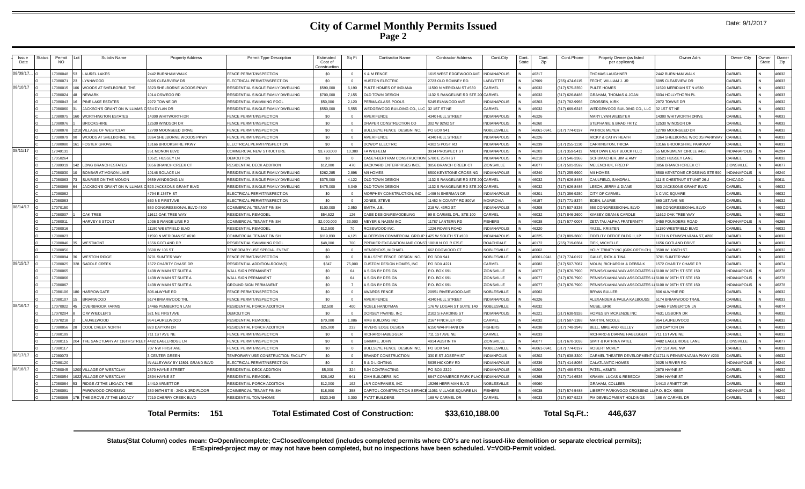|  | Date: 9/1/2017 |
|--|----------------|
|--|----------------|

| Issue<br>Date | štatu: | Permit<br><b>NO</b> | Subdiv Name                                          | <b>Property Address</b>         | Permit Type Description            | Estimated<br>Cost of<br>Construction | Sq Ft      | <b>Contractor Name</b>                              | <b>Contractor Address</b>             | Cont.City           | Cont.<br><b>State</b> | Cont.<br>Zip | Cont.Phone    | Propety Owner (as listed<br>per applicant) | Owner Adrs                    | Owner City          | ) wner<br>State | Owner<br>Zip |
|---------------|--------|---------------------|------------------------------------------------------|---------------------------------|------------------------------------|--------------------------------------|------------|-----------------------------------------------------|---------------------------------------|---------------------|-----------------------|--------------|---------------|--------------------------------------------|-------------------------------|---------------------|-----------------|--------------|
| 08/09/17.     |        | 7080048<br>153      | <b>LAUREL LAKES</b>                                  | 2442 BURNHAM WALK               | FENCE PERMIT/INSPECTION            | \$0                                  |            | K & M FENCE                                         | 1615 WEST EDGEWOOD AVE                | <b>INDIANAPOLIS</b> |                       | 46217        |               | <b>HOMAS LAUGHNER</b>                      | 442 BURNHAM WALK              | CARMEL              |                 | 46032        |
|               |        | 7080071             | YNNWOOD                                              | 6095 CLEARVIEW DR               | LECTRICAL PERMIT/INSPECTION        | \$0                                  |            | <b>IUSTON ELECTRIC</b>                              | 2723 OLD ROMNEY RD.                   | AFAYETTE            |                       | 47909        | 765) 474-6115 | ECHT, WILLIAM J. JR                        | 095 CLEARVIEW DR              | CARMEI              |                 | 46033        |
| 08/10/17      |        | 7080015             | WOODS AT SHELBORNE. THE                              | 3323 SHELBORNE WOODS PKWY       | RESIDENTIAL SINGLE FAMILY DWELLING | \$590,000                            | 6.190      | PULTE HOMES OF INDIANA                              | 11590 N MERIDIAN ST #530              | CARMEL              |                       | 46032        | 317) 575-2350 | ULTE HOMES                                 | 1590 MERIDIAN ST N #530       | CARMEL              |                 | 46032        |
|               |        | 1080024             | NFWARK                                               | 014 OSWEGO RD                   | RESIDENTIAL SINGLE FAMILY DWELLING | \$700,000                            | 7.155      | OLD TOWN DESIGN                                     | 1132 S RANGELINE RD STE 200 CARMEL    |                     |                       | 46032        | 317) 626-8486 | <b>RAHAM, THOMAS &amp; JOAN</b>            | 034 HOLLYTHORN PL             | CARMEL              |                 | 46033        |
|               |        | <b>EA00801</b>      | INE LAKE ESTATES                                     | 2972 TOWNE DR                   | RESIDENTIAL SWIMMING POOL          | \$50,000                             | 2.120      | PERMA-GLASS POOLS                                   | 5245 ELMWOOD AVE                      | NDIANAPOLIS         |                       | 46203        | 17) 782-9956  | ROSSEN, KIRK                               | 972 TOWNE DR                  | CARMEL              |                 | 46032        |
|               |        | 0800801             | ACKSON'S GRANT ON WILLIAMS C 534 DYLAN DR            |                                 | RESIDENTIAL SINGLE FAMILY DWELLING | \$550,000                            | 5.555      | WEDGEWOOD BUILDING CO., LLO                         | 32 1ST ST NE                          | <b>CARMEL</b>       |                       | 46032        | 317) 669-6315 | <b><i>NEDGEWOOD BUILDING CO., LLC</i></b>  | 32 1ST ST NE                  | CARMEL              |                 | 46032        |
|               |        | 080075              | <b>WORTHINGTON ESTATES</b>                           | 4300 WHITWORTH DR               | <b>ENCE PERMIT/INSPECTION</b>      | \$0                                  |            | <b>MERIFENCE</b>                                    | 4340 HULL STREET                      | <b>NDIANAPOLIS</b>  |                       | 16226        |               | <b>MARY LYNN WEBSTER</b>                   | <b>4300 WHITWORTH DRIVE</b>   | CARMEL              |                 | 46033        |
|               |        | 080076              | <b>BROOKSHIRE</b>                                    | 12530 WINDSOR DF                | <b>ENCE PERMIT/INSPECTION</b>      | \$0                                  | $\Omega$   | DRAPER CONSTRUCTION CO                              | 302 W 92ND ST                         | <b>NDIANAPOLIS</b>  |                       | 46260        |               | STEPHANIE & BRAD FRITZ                     | 2530 WINDSOR DR               | CARMEL              |                 | 46033        |
|               |        | 7080078             | <b>VILLAGE OF WESTCLAY</b>                           | 2709 MOONSEED DRIVE             | <b>ENCE PERMIT/INSPECTION</b>      | \$0                                  |            | <b>IULLSEYE FENCE DESIGN INC.</b>                   | PO BOX 941                            | <b>VOBLESVILLE</b>  |                       | 46061-0941   | 317) 774-0197 | <b>PATRICK MEYER</b>                       | 2709 MOONSEED DR              | CARMEI              |                 | 46032        |
|               |        | 7080079             | WOODS AT SHELBORNE. THE                              | 3364 SHELBORNE WOODS PKWY       | FENCE PERMIT/INSPECTION            | \$0                                  | $\sqrt{2}$ | AMERIFENCE                                          | 4340 HULL STREET                      | NDIANAPOLIS         |                       | 46226        |               | <b>ICKY &amp; CATHY HEATH</b>              | 3364 SHELBORNE WOODS PARKWAY  | CARMEL              |                 | 46032        |
|               |        | 7080080             | <b>FOSTER GROVE</b>                                  | 3166 BROOKSHIRE PKWY            | ELECTRICAL PERMIT/INSPECTION       | \$0                                  | $\Omega$   | <b>DOWDY ELECTRIC</b>                               | 4302 S POST RD                        | NDIANAPOLIS         |                       | 46239        | 317) 255-1130 | <b>ARRINGTON, TRICIA</b>                   | 3166 BROOKSHIRE PARKWAY       | <b>ARMEL</b>        |                 | 46033        |
| 08/11/17      |        | 7040131             |                                                      | 351 MONON BLVD                  | COMMERCIAL NEW STRUCTURE           | \$3,750,000                          | 13,380     | <b>FAWILHELM</b>                                    | 3914 PROSPECT ST                      | <b>INDIANAPOLIS</b> |                       | 46203        | 317) 359-5411 | <b>IIDTOWN EAST BLOCK I LLC</b>            | 5 MONUMENT CIRCLE #450        | <b>INDIANAPOLIS</b> |                 | 46204        |
|               |        | 7050264             |                                                      | 0521 HUSSEY LN                  | DEMOLITION                         | \$0                                  |            | CASEY-BERTRAM CONSTRUCTION                          | 5780 E 25TH ST                        | <b>INDIANAPOLIS</b> |                       | 46218        | 317) 546-3366 | CHUMACHER, JIM & AMY                       | 0521 HUSSEY LANE              | CARMEL              |                 | 46032        |
|               |        | 17080019            | <b>LONG BRANCH ESTATES</b>                           | 3856 BRANCH CREEK CT            | RESIDENTIAL DECK ADDITION          | \$12,000                             | 470        | BACKYARD ENTERPIRSES INCE                           | 3856 BRANCH CREEK CT                  | ZIONSVILLE          |                       | 46077        | 317) 501-3592 | <b>IELENCHUK, FRED P</b>                   | 3856 BRANCH CREEK CT          | ZIONSVILLE          |                 | 46077        |
|               |        | 7080030             | BONBAR AT MONON LAKE                                 | 10146 SOLACE LN                 | RESIDENTIAL SINGLE FAMILY DWELLING | \$262,285                            | 2.898      | M/I HOMES                                           | 8500 KEYSTONE CROSSING                | <b>NDIANAPOLIS</b>  |                       | 46240        | 317) 255-9900 | <b>I/I HOMES</b>                           | 500 KEYSTONE CROSSING STE 590 | <b>INDIANAPOLIS</b> |                 | 46240        |
|               |        | 7080063             | <b>UNRISE ON THE MONON</b>                           | 9859 WINDSONG LN                | RESIDENTIAL SINGLE FAMILY DWELLING | \$375,000                            | 4,122      | OLD TOWN DESIGN                                     | 1132 S RANGELINE RD STE 200 CARMEL    |                     |                       | 46032        | 17) 626-8486  | AULFIELD, SANDRA L                         | 11 E CHESTNUT ST UNIT 26-J    | CHICAGO             |                 | 60611        |
|               |        | 7080068             | ACKSON'S GRANT ON WILLIAMS C 523 JACKSONS GRANT BLVD |                                 | RESIDENTIAL SINGLE FAMILY DWELLING | \$475,000                            | 5.049      | <b>ILD TOWN DESIGN</b>                              | 1132 S RANGELINE RD STE 20            | CARMEL              |                       | 46032        | 17) 626-8486  | <b>FFCH. JERRY &amp; DIANE</b>             | 23 JACKSONS GRANT BLVD        | <b>ARMEI</b>        |                 | 46032        |
|               |        | 7080082             |                                                      | 1794 E 136TH ST                 | ELECTRICAL PERMIT/INSPECTION       | \$0                                  | $\Omega$   | MORPHEY CONSTRUCTION, INC                           | 1499 N SHERMAN DR                     | <b>NDIANAPOLIS</b>  |                       | 46201        | 317) 356-9250 | <b>ITY OF CARMEL</b>                       | CIVIC SOUARE                  | CARMEL              |                 | 46032        |
|               |        | 7080083             |                                                      | 660 NF FIRST AVE                | FLECTRICAL PERMIT/INSPECTION       | SO <sub>2</sub>                      | $\Omega$   | <b>JONES, STEVE</b>                                 | 11452 N COUNTY RD 800W                | <b>JONROVIA</b>     |                       | 46157        | 17) 771-8374  | DEN. LAURIE                                | 60 1ST AVE NE                 | CARMEL              |                 | 46032        |
| 08/14/17      |        | 7070150             |                                                      | 550 CONGRESSIONAL BLVD #300     | COMMERCIAL TENANT FINISH           | \$100,000                            | 2.950      | SMITH, J.B.                                         | 218 W. 43RD ST.                       | <b>NDIANAPOLIS</b>  |                       | 46208        | 317) 507-8336 | 50 CONGRESSIONAL BLVD                      | 550 CONGRESSIONAL BLVD        | CARMEL              |                 | 46032        |
|               |        | 7080007             | <b>DAK TREE</b>                                      | 1612 OAK TREE WAY               | RESIDENTIAL REMODEI                | \$54.522                             | 126        | ASE DESIGN/REMODELING                               | 99 E CARMEL DR., STE 100              | <b>CARMEL</b>       |                       | 46032        | 17) 846-2600  | <b>IMSEY, DEAN &amp; CAROLE</b>            | 1612 OAK TREE WAY             | CARMEL              |                 | 46032        |
|               |        | 7080011             | HARVEY B STOUT                                       | 036 S RANGE LINE RD             | COMMERCIAL TENANT FINISH           | \$2,000,000                          | 33,000     | MEYER & NAJEM INC                                   | 11787 LANTERN RD                      | <b>ISHERS</b>       |                       | 46038        | 317) 577-0007 | ZETA TAU ALPHA FRATERNITY                  | 3450 FOUNDERS ROAD            | <b>INDIANAPOLIS</b> |                 | 46268        |
|               |        | 7080016             |                                                      | 11180 WESTFIELD BLVD            | RESIDENTIAL REMODEI                | \$12,500                             | 70         | ROSEWOOD INC                                        | 1226 ROWIN ROAD                       | <b>INDIANAPOLIS</b> |                       | 46220        |               | <b>AZEL, KRISTEN</b>                       | 1180 WESTFIELD BLVD           | CARMEL              |                 | 46032        |
|               |        | 7080023             |                                                      | 1590 N MERIDIAN ST #610         | COMMERCIAL TENANT FINISH           | \$119,830                            | 4,121      | LDERSON COMMERCIAL GROUF                            | 425 W SOUTH ST #100                   | <b>INDIANAPOLIS</b> |                       | 46225        | 317) 889-3800 | IDELITY OFFICE BLDG II, LP                 | 1711 N PENNSYLVANIA ST, #200  | CARMEL              |                 | 46032        |
|               |        | 7080046             | WESTMONT                                             | 656 GOTLAND DR                  | RESIDENTIAL SWIMMING POOL          | \$48,000                             | 700        | PREMIER EXCAVATION AND CONS                         | 10018 N CO R 675 E                    | ROACHDALE           |                       | 46172        | 765) 719-0384 | <b>IEK. MICHELLI</b>                       | 656 GOTLAND DRIVE             | CARMEL              |                 | 46032        |
|               |        | 7080050             |                                                      | 3500 W 106 ST                   | <b>EMPORARY USE SPECIAL EVENT</b>  | \$0                                  | $\Omega$   | HENDRICKS, MICHAEL                                  | 662 DOGWOOD CT                        | NOBLESVILLE         |                       | 46062        |               | HOLY TRINITY INC.(GRK.ORTH.CH)             | 500 W. 106TH ST.              | CARMEL              |                 | 46032        |
|               |        | 7080094             | <b>WESTON RIDGE</b>                                  | 3701 SUMTER WAY                 | FENCE PERMIT/INSPECTION            | \$0                                  | $\Omega$   | <b>BULLSEYE FENCE DESIGN INC.</b>                   | <b>PO BOX 941</b>                     | NOBLESVILLE         |                       | 46061-094    | 317) 774-0197 | <b>GALLE, RICK &amp; TINA</b>              | 701 SUMTER WAY                | CARMEL              |                 | 46032        |
| 08/15/17      |        | 7080025             | <b>SADDLE CREEK</b>                                  | <b>1572 CHARITY CHASE DR</b>    | RESIDENTIAL ADDITION-ROOM(S)       | \$347                                | 75,000     | CUSTOM DESIGN HOMES, INC                            | PO BOX 4221                           | CARMEL              |                       | 46082        | 317) 507-7087 | MOLIN, RICHARD M & DEBRAK                  | 572 CHARITY CHASE DR          | CARMEL              |                 | 46074        |
|               |        | 7080065             |                                                      | <b>438 W MAIN ST SUITE A</b>    | WALL SIGN PERMANENT                | \$0                                  | 64         | <b>SIGN BY DESIGN</b>                               | P.O. BOX 691                          | <b>ZIONSVILLE</b>   |                       | 46077        | 317) 876-7900 | ENNSYLVANIA WAY ASSOCIATES                 | 6100 W 96TH ST STE 150        | <b>INDIANAPOLIS</b> |                 | 46278        |
|               |        | 7080066             |                                                      | 1438 W MAIN ST SUITE A          | <b>WALL SIGN PERMANENT</b>         | \$0                                  | 64         | <b>SIGN BY DESIGN</b>                               | P.O. BOX 691                          | <b>ZIONSVILLE</b>   |                       | 46077        | 317) 876-7900 | ENNSYLVANIA WAY ASSOCIATES                 | 6100 W 96TH ST STE 150        | <b>INDIANAPOLIS</b> |                 | 46278        |
|               |        | 7080067             |                                                      | <b>438 W MAIN ST SUITE A</b>    | <b>SROUND SIGN PERMANENT</b>       | \$0                                  |            | <b>SIGN BY DESIGN</b>                               | P.O. BOX 691                          | <b>7IONSVILLE</b>   |                       | 46077        | 317) 876-7900 | <b>ENNSYLVANIA WAY ASSOCIATES</b>          | 6100 W 96TH ST STE 150        | <b>INDIANAPOLIS</b> |                 | 46278        |
|               |        | 8010801             | <b>HARROWGATE</b>                                    | 806 ALWYNE RD                   | <b>ENCE PERMIT/INSPECTION</b>      | \$0                                  |            | AWARDS FENCE                                        | 20951 RIVERWOOD AVE                   | <b>VOBLESVILLE</b>  |                       | \$6062       |               | <b>RYAN RULLER</b>                         | 06 ALWYNE RD                  | CARMEL              |                 | 46032        |
|               |        | 7080107             | <b>BRIARWOOD</b>                                     | 174 BRIARWOOD TRL               | <b>ENCE PERMIT/INSPECTION</b>      | SO                                   | $\sqrt{2}$ | AMERIFENCE                                          | 4340 HULL STREET                      | INDIANAPOLIS        |                       | 46226        |               | LEXANDER & PAULA KALBOUSS                  | 5174 BRIARWOOD TRAIL          | CARMEL              |                 | 46033        |
| 08/16/17      |        | 070022              | <b>OVERBROOK FARMS</b>                               | 4465 PEMBERTON LAN              | RESIDENTIAL PORCH ADDITION         | \$2,500                              | 400        | NOBLE HANDYMAN                                      | 176 W LOGAN ST SUITE 140              | <b>NOBLESVILLE</b>  |                       | 46032        |               | <b><i>AUSE</i></b> , ERIK                  | 4465 PEMBERTON LN             | CARMEL              |                 | 46074        |
|               |        | 070204              | W WIEDLER'S                                          | 521 NE FIRST AVE                | <b>DEMOLITION</b>                  | \$0                                  |            | ORSEY PAVING, INC.                                  | 2102 S HARDING ST                     | <b>NDIANAPOLIS</b>  |                       | 16221        | 317) 638-9326 | <b>IOMES BY MCKENZIE INC</b>               | 631 LISBORN DR                | CARMEL              |                 | 46032        |
|               |        | 7070218             | <b>AURELWOOD</b>                                     | 954 LAURELWOOD                  | RESIDENTIAL REMODEL                | \$70,000                             | 1,086      | RMB BUILDING INC                                    | 2167 FINCHLEY RD                      | CARMEL              |                       | 46032        | 317) 587-1388 | <b>MARTIN, NICOLE</b>                      | <b>54 LAURELWOOD</b>          | CARMEL              |                 | 46032        |
|               |        | 7080056             | <b>COOL CREEK NORTH</b>                              | 820 DAYTON DR                   | RESIDENTIAL PORCH ADDITION         | \$25,000                             | 232        | RIVERS EDGE DESIGN                                  | 6150 WAHPIHANI DR                     | <b>FISHERS</b>      |                       | 46038        | 317) 748-3949 | BELL, MIKE AND KELLEY                      | 320 DAYTON DR                 | CARMEL              |                 | 46033        |
|               |        | 7080109             |                                                      | 711 1ST AVE NE                  | FENCE PERMIT/INSPECTION            | \$0                                  | $\Omega$   | RICHARD HABEGGER                                    | 711 1ST AVE NE                        | CARMEL              |                       | 46033        |               | RICHARD & DIANNE HABEGGER                  | 11 1ST AVE NE                 | CARMEL              |                 | 46032        |
|               |        | 7080115             | THE SANCTUARY AT 116TH STREET 4482 EAGLERIDGE LN     |                                 | FENCE PERMIT/INSPECTION            | \$0                                  |            | <b>GRIMME, JOHN</b>                                 | 4914 AUSTIN TR                        | ZIONSVILLE          |                       | 46077        | 317) 670-1036 | IMIT & KATRINA PATEL                       | 482 EAGLERIDGE LANE           | ZIONSVILLE          |                 | 46077        |
|               |        | 7080117             |                                                      | 707 NW FIRST AVE                | FENCE PERMIT/INSPECTION            | \$0                                  | $\Omega$   | BULLSEYE FENCE DESIGN INC.                          | PO BOX 941                            | NOBLESVILLI         |                       | 46061-094    | 317) 774-0197 | <b>OBERT MCVEY</b>                         | 07 1ST AVE NW                 | CARMEL              |                 | 46032        |
| 08/17/17      |        | 7080073             |                                                      | <b>CENTER GREEN</b>             | EMPORARY USE CONSTRUCTION FACILITY | \$0                                  | $\Omega$   | <b>BRANDT CONSTRUCTION</b>                          | 330 E ST JOSEPH ST                    | <b>NDIANPOLIS</b>   |                       | 46202        | 317) 638-3300 | ARMEL THEATER DEVELOPMENT                  | 1711 N PENNSYLVANIA PKWY #200 | CARMEL              |                 | 46032        |
|               |        | 7080120             |                                                      | N ALLEYWAY BY 12891 GRAND BLVD  | ELECTRICAL PERMIT/INSPECTION       | \$0                                  | $\Omega$   | <b>B &amp; D LIGHTING</b>                           | 5635 HICKORY RD                       | NDIANAPOLIS         |                       | 46239        | 317) 414-8056 | ALATLANTIC HOMES                           | 025 N RIVER RD                | <b>INDIANAPOLI</b>  |                 | 46240        |
| 08/18/17      |        | 080045              | 00 VILLAGE OF WESTCLAY                               | 2870 HAYNE STREET               | RESIDENTIAL DECK ADDITION          | \$5,000                              | 324        | <b>3JH CONTRACTING</b>                              | PO BOX 2329                           | <b>NDIANAPOLIS</b>  |                       | 46206        | 17) 489-5701  | ATEL, ASMITA                               | <b>870 HAYNE ST</b>           | CARMEI              |                 | 46032        |
|               |        | 7080054             | 2 VILLAGE OF WESTCLAY                                | 894 HAYNE ST                    | <b>RESIDENTIAL REMODEL</b>         | \$26,162                             | 941        | CMH BUILDERS INC                                    | 8847 COMMERCE PARK PLACE INDIANAPOLIS |                     |                       | 46268        | 317) 714-6536 | <b>KRAMM, LUCAS &amp; REBECCA</b>          | 894 HAYNE ST                  | CARMEL              |                 | 46032        |
|               |        | 7080084             | RIDGE AT THE LEGACY. THE                             | 4410 ARNETT DR                  | RESIDENTIAL PORCH ADDITION         | \$12,000                             | 192        | NR COMPANIES. INC.                                  | 15266 HERRIMAN BLVD                   | <b>VOBLESVILLE</b>  |                       | 08064        |               | <b>RAHAM COLLEEN</b>                       | 4410 ARNETT DR                | CARMEI              |                 | 46033        |
|               |        | 1000807             | PARKWOOD CROSSING                                    | 350 96TH ST E - 2ND & 3RD FLOOR | COMMERCIAL TENANT FINISH           | \$18,900                             | 358        | APITOL CONSTRUCTION SERVICE 11051 VILLAGE SQUARE LN |                                       | <b>FISHERS</b>      |                       | 46038        | 317) 574-5488 | <b>IBERTY PARKWOOD CROSSING L</b>          | P.O. BOX 40509                | <b>INDIANAPOLIS</b> |                 | 46240        |
|               |        | 7080095             | THE GROVE AT THE LEGACY                              | 7210 CHERRY CREEK BLVD          | RESIDENTIAL TOWNHOME               | \$323,340                            | 3.300      | PYATT BUILDERS                                      | 168 W CARMEL DR                       | CARMEL              |                       | 46033        | 317) 937-9223 | M DEVELOPMENT HOLDINGS                     | 68 W CARMEL DR                | CARMEL              |                 | 46032        |
|               |        |                     |                                                      |                                 |                                    |                                      |            |                                                     |                                       |                     |                       |              |               |                                            |                               |                     |                 |              |

**Total Permits: Total Estimated Cost of Construction: \$33,610,188.00 151 Total Sq.Ft.: 446,637**

**Status(Stat Column) codes mean: O=Open/incomplete; C=Closed/completed (includes completed permits where C/O's are not issued-like demolition or separate electrical permits); E=Expired-project may or may not have been completed, but no inspections have been scheduled. V=VOID-Permit voided.**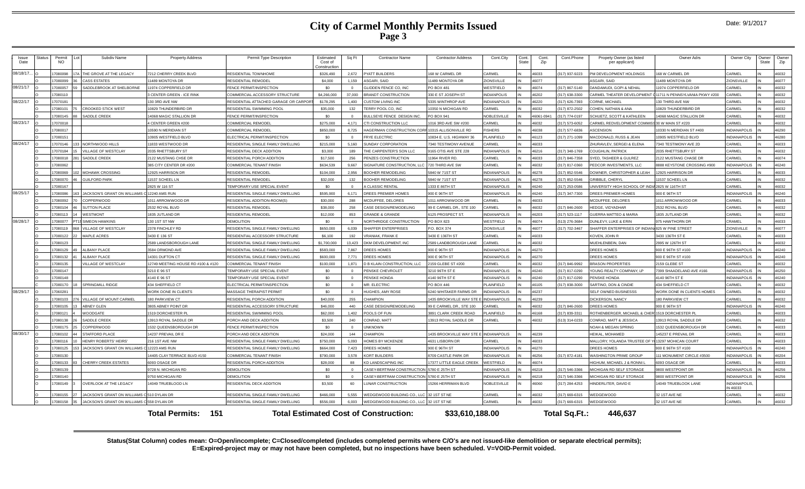| Issue<br>Date | Status | Permit<br>NO. | Subdiv Name                                | <b>Property Address</b>            | Permit Type Description               | Estimated<br>Cost of<br>Construction | Sq Ft    | <b>Contractor Name</b>                           | <b>Contractor Address</b> | Cont.City           | Cont.<br>State | Cont.<br>Zip | Cont.Phone     | Propety Owner (as listed<br>per applicant)      | Owner Adrs                               | Owner City               | Owner<br>State | Owner<br>Zip |
|---------------|--------|---------------|--------------------------------------------|------------------------------------|---------------------------------------|--------------------------------------|----------|--------------------------------------------------|---------------------------|---------------------|----------------|--------------|----------------|-------------------------------------------------|------------------------------------------|--------------------------|----------------|--------------|
| 08/18/17.     |        | 17080098      | HE GROVE AT THE LEGACY                     | 212 CHERRY CREEK BLVD              | <b>RESIDENTIAL TOWNHOME</b>           | \$326,490                            | 2,672    | <b>PYATT BUILDERS</b>                            | 68 W CARMEL DR            | CARMEL              |                | 46033        | 317) 937-9223  | PM DEVELOPMENT HOLDINGS                         | <b>68 W CARMEL DR</b>                    | CARMEL                   |                | 46032        |
|               |        | 17080099      | ASS ESTATES                                | 1489 MONTOYA DR                    | RESIDENTIAL REMODEL                   | \$4,000                              | 1.159    | <b>SGARI, SAID</b>                               | 1489 MONTOYA DR           | ZIONSVILLE          |                | 46077        |                | <b>ASGARI, SAID</b>                             | 1489 MONTOYA DR                          | <b>IONSVILLE</b>         |                | 46077        |
| 08/21/17      |        | 17080057      | SADDLEBROOK AT SHELBORNE                   | 1974 COPPERFIELD DR                | <b>FENCE PERMIT/INSPECTION</b>        | so.                                  |          | <b>GLIDDEN FENCE CO. INC</b>                     | <b>O BOX 481</b>          | WESTFIELD           |                | 46074        | 317) 867-5140  | DANDAMUDI, GOPI & NEHAL                         | 1974 COPPERFIELD DR                      | ARMEI                    |                | 46032        |
|               |        | 17080110      |                                            | <b>GENTER GREEN - ICE RINK</b>     | COMMERCIAL ACCESSORY STRUCTURE        | \$4,266,000                          | 37,000   | <b>BRANDT CONSTRUCTION</b>                       | 330 E ST JOSEPH ST        | <b>INDIANPOLIS</b>  |                | 46202        | (317) 638-3300 | CARMEL THEATER DEVELOPMENT                      | 11711 N PENNSYLVANIA PKWY #200           | CARMEL                   |                | 46032        |
| 08/22/17      |        | 17070181      |                                            | 30 3RD AVE NW                      | RESIDENTIAL ATTACHED GARAGE OR CARPOR | \$178,295                            | 1.400    | <b>CUSTOM LIVING INC</b>                         | 335 WINTHROP AVE          | <b>INDIANAPOLIS</b> |                | 46220        | (317) 626-7393 | CORNE, MICHAEL                                  | 130 THIRD AVE NW                         | ARMEL                    |                | 46032        |
|               |        | 17080101      | <b>CROOKED STICK WEST</b>                  | 0829 THUNDERBIRD DR                | RESIDENTIAL SWIMMING POOL             | \$35,000                             | 132      | TERRY POOL CO. INC                               | 0350 N MICHIGAN RD        | CARMEL              |                | 46032        | (317) 872-2502 | COHEN, NATHAN & ANA                             | 0829 THUNDERBIRD DR                      | CARMEL                   |                | 46032        |
|               |        | 17080145      | SADDLE CREEK                               | 4068 MAGIC STALLION DR             | FENCE PERMIT/INSPECTION               | \$0                                  | $\Omega$ | BULLSEYE FENCE DESIGN INC.                       | O BOX 941                 | NOBLESVILLE         |                | 16061-0941   | 317) 774-0197  | SCHUETZ, SCOTT & KATHLEEN                       | 4068 MAGIC STALLION DR                   | <b>ARMEL</b>             |                | 46032        |
| 08/23/17      |        | 17070018      |                                            | CENTER GREEN #200                  | COMMERCIAL REMODEL                    | \$275,000                            | 4,171    | CTI CONSTRUCTION LLC                             | 016 3RD AVE SW #200       | CARMEL              |                | 16032        | 317) 573-6052  | CARMEL REDVELOPMENT COMMISS 30 W MAIN ST #220   |                                          | <b>ARMEL</b>             |                | 46032        |
|               |        | 17080017      |                                            | 0590 N MERIDIAN ST                 | COMMERCIAL REMODEL                    | \$850,000                            | 8.725    | HAGERMAN CONSTRUCTION CORF 10315 ALLISONVILLE RD |                           | <b>FISHERS</b>      |                | 46038        | (317) 577-6836 | ASCENSION                                       | 0330 N MERIDIAN ST #400                  | <b>NDIANAPOLIS</b>       |                | 46290        |
|               |        | 17080151      |                                            | 0905 WESTFIELD BLVD                | ELECTRICAL PERMIT/INSPECTION          | ടറ                                   | $\Omega$ | FRYE ELECTRIC                                    | 0834 E. U.S. HIGHWAY 36   | <b>LAINFIELD</b>    |                | 46123        | 317) 271-1099  | MACDONALD, RUSS & JEAN                          | 0905 WESTFIELD BLVD                      | <b>INDIANAPOLIS</b>      |                | 46280        |
| 08/24/17      |        | 17070146      | NORTHWOOD HILLS                            | 1833 WESTWOOD DF                   | RESIDENTIAL SINGLE FAMILY DWELLING    | \$215,000                            | 5.160    | <b>SUNDAY CORPORATION</b>                        | 340 TESTIMONY AVENUE      | CARMEL              |                | 46033        |                | <b>ZHURAVLEV, SERGEL&amp; ELENA</b>             | 7340 TESTIMONY AVE 2D                    | <b>CARMEL</b>            |                | 46033        |
|               |        | 17070184      | <b>ILLAGE OF WESTCLAY</b>                  | 035 RHETTSBURY ST                  | RESIDENTIAL DECK ADDITION             | \$3,000                              | 189      | THE CARPENTER'S SON LLC                          | 165 OTIS AVE STE 228      | <b>INDIANAPOLIS</b> |                | 46216        | (317) 348-1769 | <b>COUGHLIN, PATRICK</b>                        | <b>2035 RHETTSBURY ST</b>                | CARMEL                   |                | 46032        |
|               |        | 17080018      | SADDLE CREEK                               | 122 MUSTANG CHSE DR                | <b>RESIDENTIAL PORCH ADDITION</b>     | \$17,500                             | 256      | PENZES CONSTRUCTION                              | 1964 RIVER RD.            | CARMEL              |                | 46033        | 317) 846-7358  | SYED, TASHEER & GULREZ                          | 122 MUSTANG CHASE DR                     | CARMEL                   |                | 46074        |
|               |        | 17080062      |                                            | 385 CITY CENTER DR #200            | COMMERCIAL TENANT FINISH              | \$634,539                            | 9.667    | SIGNATURE CONSTRUCTION, L                        | 20 THIRD AVE SW           | CARMEL              |                | 46032        | (317) 817-0360 | PEDCOR INVESTMENTS, LLC                         | 888 KEYSTONE CROSSING #900               | <b>INDIANAPOLIS</b>      |                | 46240        |
|               |        | 17080069      | <b>MOHAWK CROSSING</b>                     | 2925 HARRISON DR                   | RESIDENTIAL REMODEL                   | \$104,000                            | 2,956    | <b>BOOHER REMODELING</b>                         | 840 W 71ST ST             | <b>INDIANAPOLIS</b> |                | 46278        | 317) 852-5546  | DOWNER, CHRISTOPHER & LEAH                      | 2925 HARRISON DR                         | ARMEI                    |                | 46033        |
|               |        | 17080070      | <b>GUILFORD PARK</b>                       | 1537 SCHEEL LN                     | RESIDENTIAL REMODEL                   | \$32,000                             | 132      | <b>BOOHER REMODELING</b>                         | 840 W 71ST ST             | <b>INDIANAPOLIS</b> |                | 46278        | 317) 852-5546  | <b>GRIBBLE, CHERYL</b>                          | 1537 SCHEEL LN                           | <b>ARMEL</b>             |                | 46032        |
|               |        | 17080167      |                                            | 825 W 116 ST                       | <b>TEMPORARY USE SPECIAL EVENT</b>    | SO.                                  |          | CLASSIC RENTAL                                   | 333 F 86TH ST             | NDIANAPOLIS         |                | 16240        | 317) 253-0586  | JNIVERSITY HIGH SCHOOL OF INDIA 2825 W 116TH ST |                                          | ARMEI                    |                | 46032        |
| 08/25/17      |        | 17080086      | <b>IACKSON'S GRANT ON WILLIAMS (</b>       | 12240 AMS RUN                      | RESIDENTIAL SINGLE FAMILY DWELLING    | \$595,900                            | 6,171    | DREES PREMIER HOMES                              | 900 E 96TH ST             | <b>INDIANAPOLIS</b> |                | 46240        | (317) 347-7300 | DREES PREMIER HOMES                             | 900 E 96TH ST                            | <b>INDIANAPOLIS</b>      |                | 46240        |
|               |        | 17080092      | COPPERWOOD                                 | 011 ARROWWOOD DF                   | RESIDENTIAL ADDITION-ROOM(S)          | \$30,000                             | 288      | MCDUFFEE, DELORES                                | 011 ARROWWOOD DR          | CARMEL              |                | 46033        |                | MCDUFFEE, DELORES                               | 011 ARROWWOOD DF                         | ARMEL                    |                | 46033        |
|               |        | 17080104      | <b>SUTTON PLACE</b>                        | 532 ROYAL BLVD                     | <b>RESIDENTIAL REMODEL</b>            | \$38,000                             | 258      | CASE DESIGN/REMODELING                           | 9 E CARMEL DR., STE 100   | CARMEL              |                | 46032        | 317) 846-2600  | HEDGE, VIDYADHAR                                | 2532 ROYAL BLVD                          | CARMEL                   |                | 46032        |
|               |        | 17080113      | WESTMONT                                   | 835 JUTLAND DR                     | RESIDENTIAL REMODEL                   | \$12,000                             | 853      | <b>GRANDE &amp; GRANDE</b>                       | 125 PROSPECT ST.          | <b>INDIANAPOLIS</b> |                | 46203        | (317) 523-1117 | GUERRA MATTEO & MARIA                           | 835 JUTLAND DR                           | CARMEL                   |                | 46032        |
| 08/28/17      |        | 17080077      | <b>SIMEON HAWKINS</b>                      | 130 1ST ST NW                      | <b>DEMOLITION</b>                     | SO.                                  | $\Omega$ | NORTHRIDGE CONSTRUCTION                          | O BOX 823                 | WESTFIELD           |                | 46074        | 513) 276-3684  | DUNLEVY, LUKE & ERIN                            | 975 HAWTHORN DR                          | CRAMEL                   |                | 46033        |
|               |        | 17080119      | VILLAGE OF WESTCLAY                        | 378 FINCHLEY RD                    | RESIDENTIAL SINGLE FAMILY DWELLING    | \$650,000                            | 6.039    | SHAFFER ENTERPRISES                              | O. BOX 374                | <b>ZIONSVILLE</b>   |                | 46077        | 317) 702-3467  | SHAFFER ENTERPRISES OF INDIAN 825 W PINE STREET |                                          | <b>IONSVILLE</b>         |                | 46077        |
|               |        | 17080122      | MAPLE ACRES                                | 3430 E 136 ST                      | RESIDENTIAL ACCESSORY STRUCTURE       | \$6,100                              | 192      | RANIAK, FRANK E                                  | 3430 E 136TH ST           | CARMEL              |                | 46033        |                | KOVEN, JOHN R                                   | 3430 136TH ST E                          | <b>ARMEL</b>             |                | 46033        |
|               |        | 17080123      |                                            | 589 LANDSBOROUGH LANE              | RESIDENTIAL SINGLE FAMILY DWELLING    | \$1,700,000                          | 13,423   | <b>DKM DEVELOPMENT, INC</b>                      | 589 LANDBOROUGH LANE      | CARMEL              |                | 46032        |                | MUEHLENBEIN, DAN                                | 2995 W 126TH ST                          | <b>CARMEL</b>            |                | 46032        |
|               |        | 17080129      | ALBANY PLACE                               | 3584 ORMOND AVE                    | RESIDENTIAL SINGLE FAMILY DWELLING    | \$583,000                            | 7.867    | DREES HOMES                                      | 900 E 96TH ST             | <b>INDIANAPOLIS</b> |                | 46270        |                | DREES HOMES                                     | 900 E 96TH ST #100                       | <b>INDIANAPOLIS</b>      |                | 46240        |
|               |        | 17080132      | <b>ALBANY PLACE</b>                        | 4301 DUFTON CT                     | RESIDENTIAL SINGLE FAMILY DWELLING    | \$600,000                            | 7.771    | DREES HOMES                                      | 900 E 96TH ST             | <b>INDIANAPOLIS</b> |                | 46270        |                | <b>DREES HOMES</b>                              | 900 E 96TH ST #100                       | <b>INDIANAPOLIS</b>      |                | 46240        |
|               |        | 17080135      | VILLAGE OF WESTCLAY                        | 12749 MEETING HOUSE RD #100 & #120 | COMMERCIAL TENANT FINISH              | \$100,000                            | 1.871    | <b>D B KLAIN CONSTRUCTION, LLC</b>               | 159 GLEBE ST #200         | CARMEL              |                | 46032        | (317) 846-9992 | <b>BRASON PROPERTIES</b>                        | 159 GLEBE ST                             | CARMEL                   |                | 46032        |
|               |        | 17080147      |                                            | 3210 E 96 ST                       | <b>TEMPORARY USE SPECIAL EVENT</b>    | \$0                                  | $\Omega$ | PENSKE CHEVROLET                                 | 210 96TH ST E             | <b>INDIANAPOLIS</b> |                | 46240        | (317) 817-0290 | YOUNG REALTY COMPANY, LP                        | 399 SHAADELAND AVE #166                  | <b>INDIANAPOLIS</b>      |                | 46250        |
|               |        | 17080148      |                                            | 4140 E 96 ST                       | <b>TEMPORARY USE SPECIAL EVENT</b>    | \$0                                  | $\Omega$ | PENSKE HONDA                                     | 140 96TH ST E             | <b>INDIANAPOLIS</b> |                | 46240        | 317) 817-0290  | PENSKE HONDA                                    | 1140 96TH ST E                           | <b>NDIANAPOLIS</b>       |                | 46240        |
|               |        | 17080170      | SPRINGMILL RIDGE                           | <b>134 SHEFFIELD CT</b>            | ELECTRICAL PERMIT/INSPECTION          | S <sub>0</sub>                       |          | MR. ELECTRIC                                     | <b>PO BOX 446</b>         | <b>LAINFIELD</b>    |                | 46105        | 317) 838-3000  | SARTINO, DON & CINDIE                           | <b>134 SHEFFIELD CT</b>                  | ARMEI                    |                | 46032        |
| 08/29/17      |        | 1706028       |                                            | <b>VORK DONE IN CLIENTS</b>        | MASSAGE THERAPIST PERMIT              | \$0                                  | $\Omega$ | HUGHES, AMY ROSE                                 | 240 WHITAKER FARMS DR     | <b>INDIANAPOLIS</b> |                | 46237        |                | SELF OWNED BUSINESSS                            | <b><i>NORK DONE IN CLIENTS HOMES</i></b> | CARMEL                   |                | 46032        |
|               |        | 17080103      | VILLAGE OF MOUNT CARMEL                    | 80 PARKVIEW CT                     | RESIDENTIAL PORCH ADDITION            | \$40,000                             | 255      | CHAMPION                                         | 435 BROOKVILLE WAY STE    | INDIANAPOLIS        |                | 46239        |                | <b>DICKERSON, NANCY</b>                         | <b>80 PARKVIEW CT</b>                    | ARMEL                    |                | 46032        |
|               |        | 17080105      | <b>ABNEY GLEN</b><br>13                    | <b>805 ABNEY POINT DR</b>          | RESIDENTIAL ACCESSORY STRUCTURE       | \$46,000                             | 440      | CASE DESIGN/REMODELING                           | 9 E CARMEL DR., STE 100   | CARMEL              |                | 46032        | (317) 846-2600 | DREES HOMES                                     | 900 E 96TH ST                            | <b>INDIANAPOLIS</b>      |                | 46240        |
|               |        | 17080121      | <b>WOODGATE</b>                            | 519 DORCHESTER PL                  | RESIDENTIAL SWIMMING POOL             | \$62,000                             | 1.402    | POOLS OF FUN                                     | 891 CLARK CREEK ROAD      | PLAINFIELD          |                | 46168        | (317) 839-3311 | ROTHENBERGER, MICHAEL & CHER                    | 1519 DORCHESTER PL                       | CARMEL                   |                | 46033        |
|               |        | 17080138      | SADDLE CREEK                               | 3913 ROYAL SADDLE DR               | PORCH AND DECK ADDITION               | \$3,500                              | 240      | CONRAD, MATT                                     | 3913 ROYAL SADDLE DR      | CARMEL              |                | 46032        | 513) 314-0233  | CONRAD, MATT & JESSICA                          | 3913 ROYAL SADDLE DR                     | CARMEL                   |                | 46032        |
|               |        | 17080175      | COPPERWOOD                                 | 532 QUEENSBOROUGH DR               | <b>FENCE PERMIT/INSPECTION</b>        | SO.                                  | $\Omega$ | <b>INKNOWN</b>                                   |                           |                     |                |              |                | <b>NOAH &amp; MEGAN SPRING</b>                  | 532 QUEENSBOROUGH DR                     | ARMEI                    |                | 46033        |
| 08/30/17      |        | 17080102      | <b>STAFFORD PLACE</b>                      | 4237 PREVAIL DR E                  | PORCH AND DECK ADDITION               | \$24,000                             | 144      | CHAMPION                                         | 435 BROOKVILLE WAY STE E  | <b>INDIANAPOLIS</b> |                | 46239        |                | HEIKAL, MOHAMED                                 | 45237 E PREVAIL DR                       | <b>ARMEL</b>             |                | 46033        |
|               |        | 1708011       | HENRY ROBERTS' HEIRS                       | 16 1ST AVE NW                      | RESIDENTIAL SINGLE FAMILY DWELLING    | \$750,000                            | 5.093    | HOMES BY MCKENZIE                                | 4631 LISBORN DR           | CARMEL              |                | 46033        |                | MALLORY, YOLANDA TRUSTEE OF                     | 13297 MOHICAN COURT                      | CARMEL                   |                | 46033        |
|               |        | 17080125      | <b>ACKSON'S GRANT ON WILLIAMS</b>          | <b>2223 AMS RUN</b>                | RESIDENTIAL SINGLE FAMILY DWELLING    | \$664,000                            | 7.423    | DREES HOMES                                      | 900 F 96TH ST             | <b>INDIANAPOLIS</b> |                | 46270        |                | DREES HOMES                                     | 900 F 96TH ST #100                       | <b>NDIANAPOLIS</b>       |                | 46240        |
|               |        | 17080130      |                                            | 4405 CLAY TERRACE BLVD #150        | <b>COMMERCIAL TENANT FINISH</b>       | \$790,000                            | 3.578    | <b>KORT BUILDERS</b>                             | 709 CASTLE PARK DR        | <b>INDIANAPOLIS</b> |                | 46256        | (317) 872-4181 | <b>WASHINGTON PRIME GROUP</b>                   | 11 MONUMENT CIRCLE #3500                 | <b>INDIANAPOLIS</b>      |                | 46204        |
|               |        | 17080133      | CHERRY CREEK ESTATES                       | 093 OSAGE DR                       | RESIDENTIAL PORCH ADDITION            | \$28,000                             | 88       | KD LANDSCAPING INC                               | 7377 LITTLE EAGLE CREEK   | WESTFIELD           |                | 46074        |                | <b>HIGHUM, MICHAEL J &amp; RONNI L</b>          | 093 OSAGE DR                             | CARMEL                   |                | 46033        |
|               |        | 17080139      |                                            | 9728 N. MICHIGAN RD                | DEMOLITION                            | \$0                                  | $\Omega$ | CASEY-BERTRAM CONSTRUCTION                       | 780 E 25TH ST             | <b>NDIANAPOLIS</b>  |                | 46218        | 317) 546-3366  | MICHIGAN RD SELF STORAGE                        | <b>800 WESTPOINT DR</b>                  | <b>INDIANAPOLIS</b>      |                | 46256        |
|               |        | 17080140      |                                            | 750 MICHIGAN RD                    | DEMOLITION                            | \$0                                  | $\Omega$ | CASEY-BERTRAM CONSTRUCTION                       | 780 E 25TH ST             | <b>INDIANAPOLIS</b> |                | 46218        | 317) 546-3366  | MICHIGAN RD SELF STORAGE                        | 800 WESTPOINT DR                         | <b>INDIANAPOLIS</b>      |                | 46256        |
|               |        | 17080149      | <b>OVERLOOK AT THE LEGACY</b>              | 4049 TRUEBLOOD LN                  | RESIDENTIAL DECK ADDITION             | \$3,500                              | 60       | UNAR CONSTRUCTION                                | 5266 HERRIMAN BLVD        | NOBLESVILLE         |                | 46060        | 317) 284-4253  | HINDERLITER, DAVID E                            | 4049 TRUEBLOOK LANE                      | NDIANAPOLIS,<br>IN 46033 |                |              |
|               |        | 17080155      | JACKSON'S GRANT ON WILLIAMS                | 510 DYLAN DR                       | RESIDENTIAL SINGLE FAMILY DWELLING    | \$466,000                            | 5,555    | VEDGEWOOD BUILDING CO., LLC 32 1ST ST NE         |                           | CARMEL              |                | 46032        | 317) 669-6315  | WEDGEWOOD                                       | 32 1ST AVE NE                            | CARMEL                   |                | 46032        |
|               |        | 17080158      | JACKSON'S GRANT ON WILLIAMS C 558 DYLAN DR |                                    | RESIDENTIAL SINGLE FAMILY DWELLING    | \$556,000                            | 6.003    | WEDGEWOOD BUILDING CO., LLC 32 1ST ST NE         |                           | CARMEL              |                | 46032        | 317) 669-6315  | WEDGEWOOD                                       | 32 1ST AVE NE                            | CARMEL                   |                | 46032        |
|               |        |               |                                            | <b>Total Permits: 151</b>          |                                       |                                      |          | <b>Total Estimated Cost of Construction:</b>     | \$33,610,188.00           |                     |                |              | Total Sq.Ft.:  | 446.637                                         |                                          |                          |                |              |

**Status(Stat Column) codes mean: O=Open/incomplete; C=Closed/completed (includes completed permits where C/O's are not issued-like demolition or separate electrical permits); E=Expired-project may or may not have been completed, but no inspections have been scheduled. V=VOID-Permit voided.**